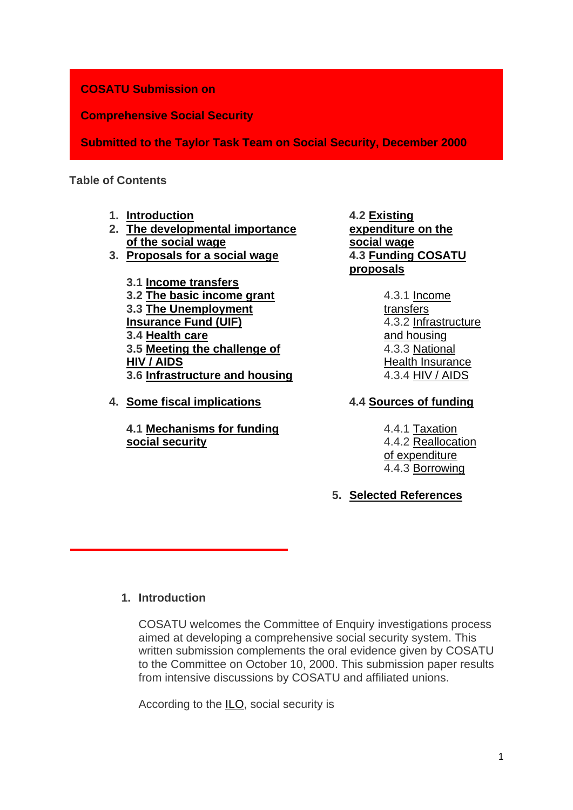# **COSATU Submission on**

**Comprehensive Social Security**

**Submitted to the Taylor Task Team on Social Security, December 2000**

# **Table of Contents**

- **1. [Introduction](http://www.cosatu.org.za/show.php?ID=831#_Toc500838926)**
- **2. [The developmental importance](http://www.cosatu.org.za/show.php?ID=831#_Toc500838927)  [of the social wage](http://www.cosatu.org.za/show.php?ID=831#_Toc500838927)**
- **3. [Proposals for a social wage](http://www.cosatu.org.za/show.php?ID=831#_Toc500838928)**

**3.1 [Income transfers](http://www.cosatu.org.za/show.php?ID=831#_Toc500838929) 3.2 [The basic income grant](http://www.cosatu.org.za/show.php?ID=831#_Toc500838930) 3.3 [The Unemployment](http://www.cosatu.org.za/show.php?ID=831#_Toc500838932)  [Insurance Fund \(UIF\)](http://www.cosatu.org.za/show.php?ID=831#_Toc500838932) 3.4 [Health care](http://www.cosatu.org.za/show.php?ID=831#_Toc500838933) 3.5 [Meeting the challenge of](http://www.cosatu.org.za/show.php?ID=831#_Toc500838934)  [HIV / AIDS](http://www.cosatu.org.za/show.php?ID=831#_Toc500838934) 3.6 [Infrastructure and housing](http://www.cosatu.org.za/show.php?ID=831#_Toc500838935)**

**4. [Some fiscal implications](http://www.cosatu.org.za/show.php?ID=831#_Toc500838936)**

**4.1 [Mechanisms for funding](http://www.cosatu.org.za/show.php?ID=831#_Toc500838937)  [social security](http://www.cosatu.org.za/show.php?ID=831#_Toc500838937)**

**4.2 [Existing](http://www.cosatu.org.za/show.php?ID=831#_Toc500838938)  [expenditure on the](http://www.cosatu.org.za/show.php?ID=831#_Toc500838938)  [social wage](http://www.cosatu.org.za/show.php?ID=831#_Toc500838938) 4.3 [Funding COSATU](http://www.cosatu.org.za/show.php?ID=831#_Toc500838939)  [proposals](http://www.cosatu.org.za/show.php?ID=831#_Toc500838939)**

> 4.3.1 [Income](http://www.cosatu.org.za/show.php?ID=831#_Toc500838940)  [transfers](http://www.cosatu.org.za/show.php?ID=831#_Toc500838940) 4.3.2 [Infrastructure](http://www.cosatu.org.za/show.php?ID=831#_Toc500838941)  [and housing](http://www.cosatu.org.za/show.php?ID=831#_Toc500838941) 4.3.3 [National](http://www.cosatu.org.za/show.php?ID=831#_Toc500838942)  [Health Insurance](http://www.cosatu.org.za/show.php?ID=831#_Toc500838942) 4.3.4 [HIV / AIDS](http://www.cosatu.org.za/show.php?ID=831#_Toc500838943)

# **4.4 [Sources of funding](http://www.cosatu.org.za/show.php?ID=831#_Toc500838944)**

4.4.1 [Taxation](http://www.cosatu.org.za/show.php?ID=831#_Toc500838945) 4.4.2 [Reallocation](http://www.cosatu.org.za/show.php?ID=831#_Toc500838946)  [of expenditure](http://www.cosatu.org.za/show.php?ID=831#_Toc500838946) 4.4.3 [Borrowing](http://www.cosatu.org.za/show.php?ID=831#_Toc500838947)

# **5. [Selected References](http://www.cosatu.org.za/show.php?ID=831#_Toc500838948)**

# **1. Introduction**

COSATU welcomes the Committee of Enquiry investigations process aimed at developing a comprehensive social security system. This written submission complements the oral evidence given by COSATU to the Committee on October 10, 2000. This submission paper results from intensive discussions by COSATU and affiliated unions.

According to the [ILO,](http://www.ilo.org/) social security is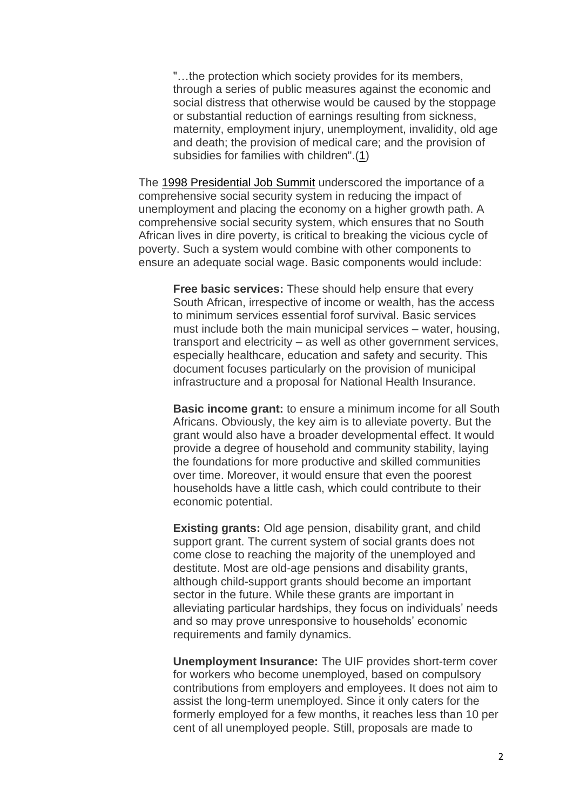"…the protection which society provides for its members, through a series of public measures against the economic and social distress that otherwise would be caused by the stoppage or substantial reduction of earnings resulting from sickness, maternity, employment injury, unemployment, invalidity, old age and death; the provision of medical care; and the provision of subsidies for families with children".[\(1\)](http://www.cosatu.org.za/show.php?ID=831#f1)

The [1998 Presidential Job Summit](http://www.polity.org.za/govdocs/summit/jobsummit.html) underscored the importance of a comprehensive social security system in reducing the impact of unemployment and placing the economy on a higher growth path. A comprehensive social security system, which ensures that no South African lives in dire poverty, is critical to breaking the vicious cycle of poverty. Such a system would combine with other components to ensure an adequate social wage. Basic components would include:

**Free basic services:** These should help ensure that every South African, irrespective of income or wealth, has the access to minimum services essential forof survival. Basic services must include both the main municipal services – water, housing, transport and electricity – as well as other government services, especially healthcare, education and safety and security. This document focuses particularly on the provision of municipal infrastructure and a proposal for National Health Insurance.

**Basic income grant:** to ensure a minimum income for all South Africans. Obviously, the key aim is to alleviate poverty. But the grant would also have a broader developmental effect. It would provide a degree of household and community stability, laying the foundations for more productive and skilled communities over time. Moreover, it would ensure that even the poorest households have a little cash, which could contribute to their economic potential.

**Existing grants:** Old age pension, disability grant, and child support grant. The current system of social grants does not come close to reaching the majority of the unemployed and destitute. Most are old-age pensions and disability grants, although child-support grants should become an important sector in the future. While these grants are important in alleviating particular hardships, they focus on individuals' needs and so may prove unresponsive to households' economic requirements and family dynamics.

**Unemployment Insurance:** The UIF provides short-term cover for workers who become unemployed, based on compulsory contributions from employers and employees. It does not aim to assist the long-term unemployed. Since it only caters for the formerly employed for a few months, it reaches less than 10 per cent of all unemployed people. Still, proposals are made to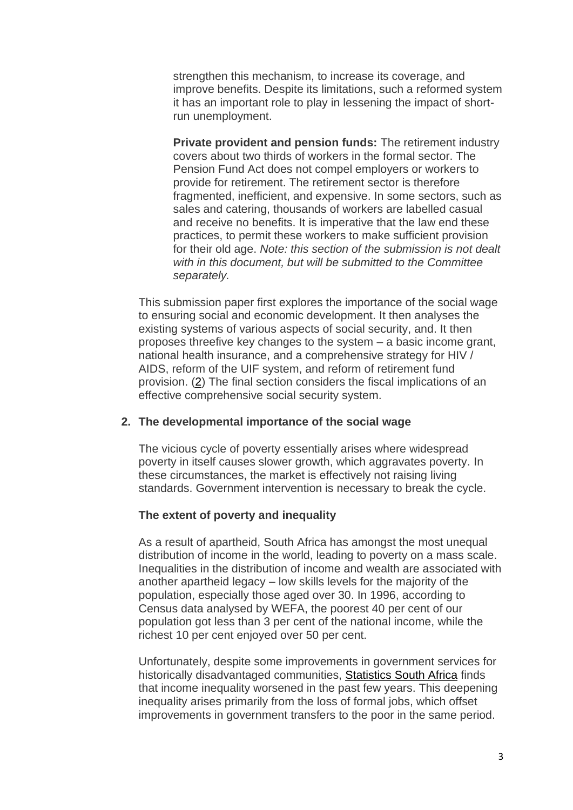strengthen this mechanism, to increase its coverage, and improve benefits. Despite its limitations, such a reformed system it has an important role to play in lessening the impact of shortrun unemployment.

**Private provident and pension funds:** The retirement industry covers about two thirds of workers in the formal sector. The Pension Fund Act does not compel employers or workers to provide for retirement. The retirement sector is therefore fragmented, inefficient, and expensive. In some sectors, such as sales and catering, thousands of workers are labelled casual and receive no benefits. It is imperative that the law end these practices, to permit these workers to make sufficient provision for their old age. *Note: this section of the submission is not dealt with in this document, but will be submitted to the Committee separately.*

This submission paper first explores the importance of the social wage to ensuring social and economic development. It then analyses the existing systems of various aspects of social security, and. It then proposes threefive key changes to the system – a basic income grant, national health insurance, and a comprehensive strategy for HIV / AIDS, reform of the UIF system, and reform of retirement fund provision. [\(2\)](http://www.cosatu.org.za/show.php?ID=831#f2) The final section considers the fiscal implications of an effective comprehensive social security system.

#### **2. The developmental importance of the social wage**

The vicious cycle of poverty essentially arises where widespread poverty in itself causes slower growth, which aggravates poverty. In these circumstances, the market is effectively not raising living standards. Government intervention is necessary to break the cycle.

#### **The extent of poverty and inequality**

As a result of apartheid, South Africa has amongst the most unequal distribution of income in the world, leading to poverty on a mass scale. Inequalities in the distribution of income and wealth are associated with another apartheid legacy – low skills levels for the majority of the population, especially those aged over 30. In 1996, according to Census data analysed by WEFA, the poorest 40 per cent of our population got less than 3 per cent of the national income, while the richest 10 per cent enjoyed over 50 per cent.

Unfortunately, despite some improvements in government services for historically disadvantaged communities, [Statistics South Africa](http://www.statssa.gov.za/) finds that income inequality worsened in the past few years. This deepening inequality arises primarily from the loss of formal jobs, which offset improvements in government transfers to the poor in the same period.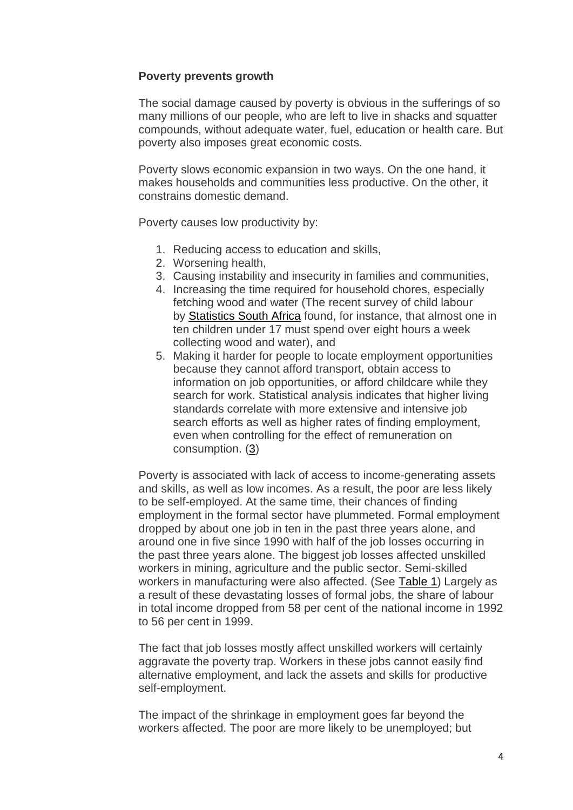# **Poverty prevents growth**

The social damage caused by poverty is obvious in the sufferings of so many millions of our people, who are left to live in shacks and squatter compounds, without adequate water, fuel, education or health care. But poverty also imposes great economic costs.

Poverty slows economic expansion in two ways. On the one hand, it makes households and communities less productive. On the other, it constrains domestic demand.

Poverty causes low productivity by:

- 1. Reducing access to education and skills,
- 2. Worsening health,
- 3. Causing instability and insecurity in families and communities,
- 4. Increasing the time required for household chores, especially fetching wood and water (The recent survey of child labour by [Statistics South Africa](http://www.statssa.gov.za/) found, for instance, that almost one in ten children under 17 must spend over eight hours a week collecting wood and water), and
- 5. Making it harder for people to locate employment opportunities because they cannot afford transport, obtain access to information on job opportunities, or afford childcare while they search for work. Statistical analysis indicates that higher living standards correlate with more extensive and intensive job search efforts as well as higher rates of finding employment, even when controlling for the effect of remuneration on consumption. [\(3\)](http://www.cosatu.org.za/show.php?ID=831#f3)

Poverty is associated with lack of access to income-generating assets and skills, as well as low incomes. As a result, the poor are less likely to be self-employed. At the same time, their chances of finding employment in the formal sector have plummeted. Formal employment dropped by about one job in ten in the past three years alone, and around one in five since 1990 with half of the job losses occurring in the past three years alone. The biggest job losses affected unskilled workers in mining, agriculture and the public sector. Semi-skilled workers in manufacturing were also affected. (See [Table 1\)](http://www.cosatu.org.za/show.php?ID=831#tab1) Largely as a result of these devastating losses of formal jobs, the share of labour in total income dropped from 58 per cent of the national income in 1992 to 56 per cent in 1999.

The fact that job losses mostly affect unskilled workers will certainly aggravate the poverty trap. Workers in these jobs cannot easily find alternative employment, and lack the assets and skills for productive self-employment.

The impact of the shrinkage in employment goes far beyond the workers affected. The poor are more likely to be unemployed; but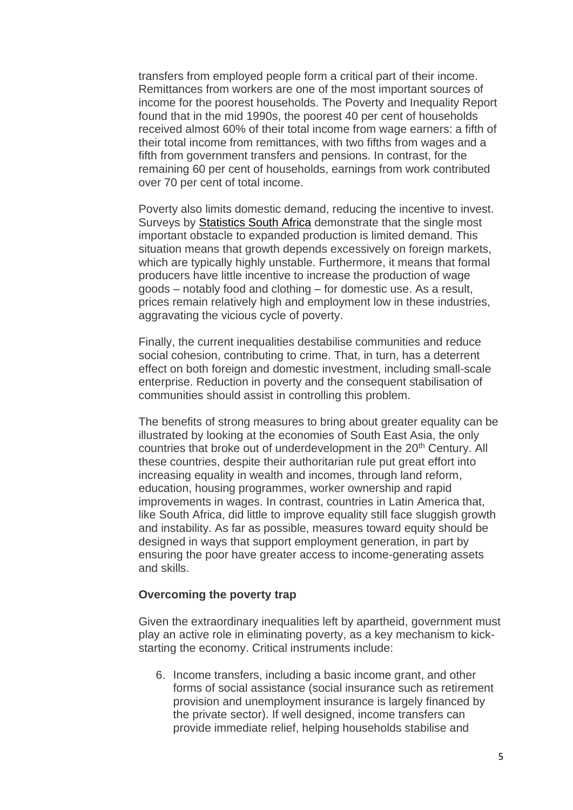transfers from employed people form a critical part of their income. Remittances from workers are one of the most important sources of income for the poorest households. The Poverty and Inequality Report found that in the mid 1990s, the poorest 40 per cent of households received almost 60% of their total income from wage earners: a fifth of their total income from remittances, with two fifths from wages and a fifth from government transfers and pensions. In contrast, for the remaining 60 per cent of households, earnings from work contributed over 70 per cent of total income.

Poverty also limits domestic demand, reducing the incentive to invest. Surveys by [Statistics South Africa](http://www.statssa.gov.za/) demonstrate that the single most important obstacle to expanded production is limited demand. This situation means that growth depends excessively on foreign markets, which are typically highly unstable. Furthermore, it means that formal producers have little incentive to increase the production of wage goods – notably food and clothing – for domestic use. As a result, prices remain relatively high and employment low in these industries, aggravating the vicious cycle of poverty.

Finally, the current inequalities destabilise communities and reduce social cohesion, contributing to crime. That, in turn, has a deterrent effect on both foreign and domestic investment, including small-scale enterprise. Reduction in poverty and the consequent stabilisation of communities should assist in controlling this problem.

The benefits of strong measures to bring about greater equality can be illustrated by looking at the economies of South East Asia, the only countries that broke out of underdevelopment in the 20<sup>th</sup> Century. All these countries, despite their authoritarian rule put great effort into increasing equality in wealth and incomes, through land reform, education, housing programmes, worker ownership and rapid improvements in wages. In contrast, countries in Latin America that, like South Africa, did little to improve equality still face sluggish growth and instability. As far as possible, measures toward equity should be designed in ways that support employment generation, in part by ensuring the poor have greater access to income-generating assets and skills.

## **Overcoming the poverty trap**

Given the extraordinary inequalities left by apartheid, government must play an active role in eliminating poverty, as a key mechanism to kickstarting the economy. Critical instruments include:

6. Income transfers, including a basic income grant, and other forms of social assistance (social insurance such as retirement provision and unemployment insurance is largely financed by the private sector). If well designed, income transfers can provide immediate relief, helping households stabilise and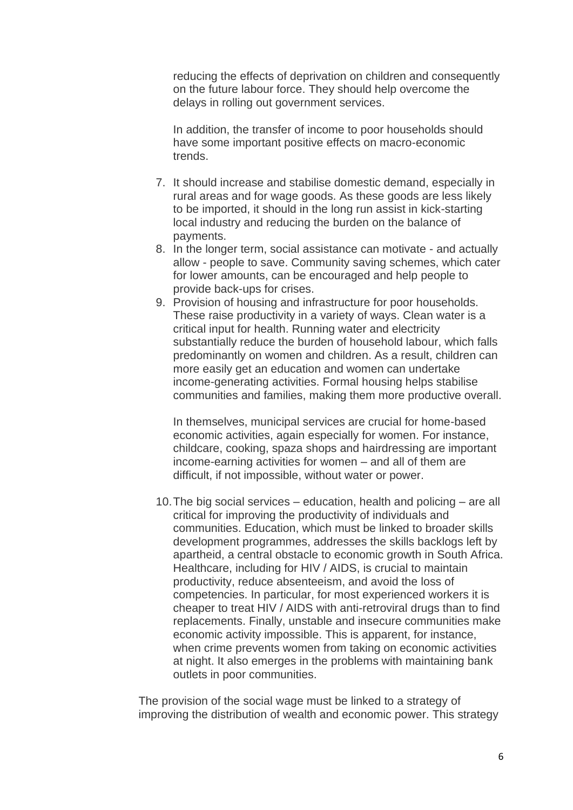reducing the effects of deprivation on children and consequently on the future labour force. They should help overcome the delays in rolling out government services.

In addition, the transfer of income to poor households should have some important positive effects on macro-economic trends.

- 7. It should increase and stabilise domestic demand, especially in rural areas and for wage goods. As these goods are less likely to be imported, it should in the long run assist in kick-starting local industry and reducing the burden on the balance of payments.
- 8. In the longer term, social assistance can motivate and actually allow - people to save. Community saving schemes, which cater for lower amounts, can be encouraged and help people to provide back-ups for crises.
- 9. Provision of housing and infrastructure for poor households. These raise productivity in a variety of ways. Clean water is a critical input for health. Running water and electricity substantially reduce the burden of household labour, which falls predominantly on women and children. As a result, children can more easily get an education and women can undertake income-generating activities. Formal housing helps stabilise communities and families, making them more productive overall.

In themselves, municipal services are crucial for home-based economic activities, again especially for women. For instance, childcare, cooking, spaza shops and hairdressing are important income-earning activities for women – and all of them are difficult, if not impossible, without water or power.

10.The big social services – education, health and policing – are all critical for improving the productivity of individuals and communities. Education, which must be linked to broader skills development programmes, addresses the skills backlogs left by apartheid, a central obstacle to economic growth in South Africa. Healthcare, including for HIV / AIDS, is crucial to maintain productivity, reduce absenteeism, and avoid the loss of competencies. In particular, for most experienced workers it is cheaper to treat HIV / AIDS with anti-retroviral drugs than to find replacements. Finally, unstable and insecure communities make economic activity impossible. This is apparent, for instance, when crime prevents women from taking on economic activities at night. It also emerges in the problems with maintaining bank outlets in poor communities.

The provision of the social wage must be linked to a strategy of improving the distribution of wealth and economic power. This strategy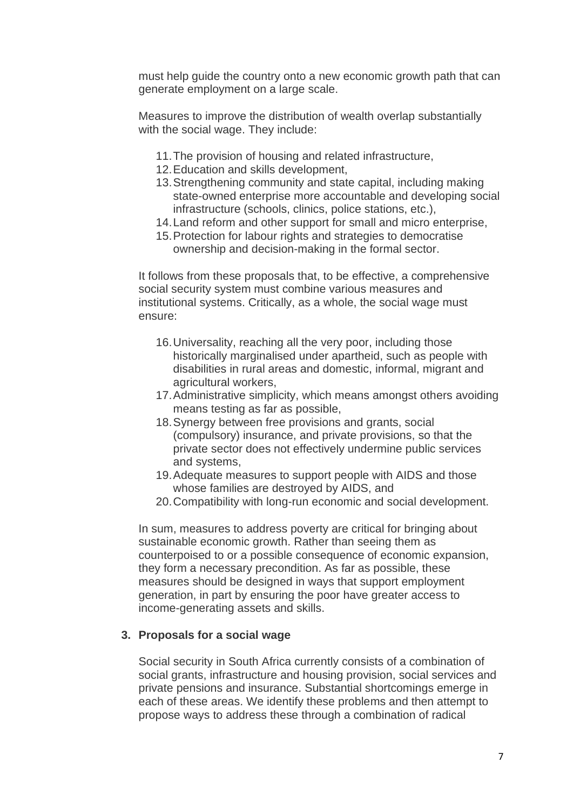must help guide the country onto a new economic growth path that can generate employment on a large scale.

Measures to improve the distribution of wealth overlap substantially with the social wage. They include:

- 11.The provision of housing and related infrastructure,
- 12.Education and skills development,
- 13.Strengthening community and state capital, including making state-owned enterprise more accountable and developing social infrastructure (schools, clinics, police stations, etc.),
- 14.Land reform and other support for small and micro enterprise,
- 15.Protection for labour rights and strategies to democratise ownership and decision-making in the formal sector.

It follows from these proposals that, to be effective, a comprehensive social security system must combine various measures and institutional systems. Critically, as a whole, the social wage must ensure:

- 16.Universality, reaching all the very poor, including those historically marginalised under apartheid, such as people with disabilities in rural areas and domestic, informal, migrant and agricultural workers,
- 17.Administrative simplicity, which means amongst others avoiding means testing as far as possible,
- 18.Synergy between free provisions and grants, social (compulsory) insurance, and private provisions, so that the private sector does not effectively undermine public services and systems,
- 19.Adequate measures to support people with AIDS and those whose families are destroyed by AIDS, and
- 20.Compatibility with long-run economic and social development.

In sum, measures to address poverty are critical for bringing about sustainable economic growth. Rather than seeing them as counterpoised to or a possible consequence of economic expansion, they form a necessary precondition. As far as possible, these measures should be designed in ways that support employment generation, in part by ensuring the poor have greater access to income-generating assets and skills.

#### **3. Proposals for a social wage**

Social security in South Africa currently consists of a combination of social grants, infrastructure and housing provision, social services and private pensions and insurance. Substantial shortcomings emerge in each of these areas. We identify these problems and then attempt to propose ways to address these through a combination of radical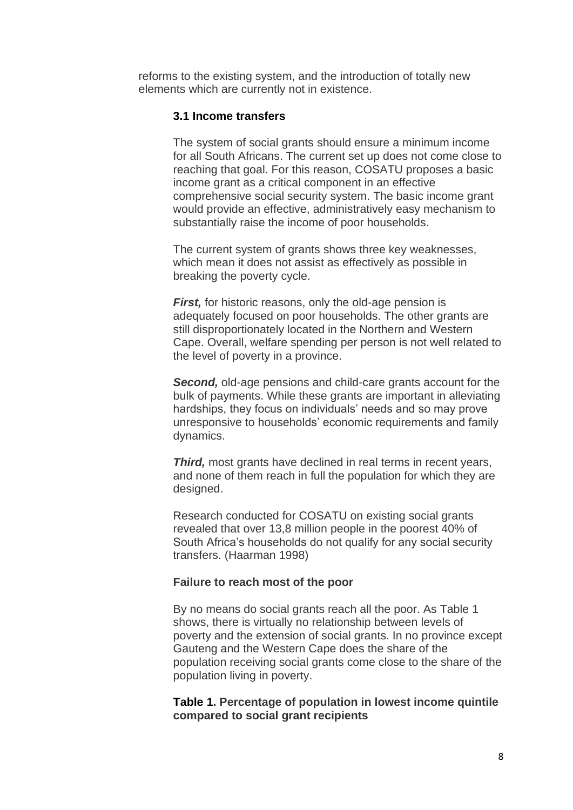reforms to the existing system, and the introduction of totally new elements which are currently not in existence.

#### **3.1 Income transfers**

The system of social grants should ensure a minimum income for all South Africans. The current set up does not come close to reaching that goal. For this reason, COSATU proposes a basic income grant as a critical component in an effective comprehensive social security system. The basic income grant would provide an effective, administratively easy mechanism to substantially raise the income of poor households.

The current system of grants shows three key weaknesses, which mean it does not assist as effectively as possible in breaking the poverty cycle.

*First,* for historic reasons, only the old-age pension is adequately focused on poor households. The other grants are still disproportionately located in the Northern and Western Cape. Overall, welfare spending per person is not well related to the level of poverty in a province.

*Second,* old-age pensions and child-care grants account for the bulk of payments. While these grants are important in alleviating hardships, they focus on individuals' needs and so may prove unresponsive to households' economic requirements and family dynamics.

**Third,** most grants have declined in real terms in recent years, and none of them reach in full the population for which they are designed.

Research conducted for COSATU on existing social grants revealed that over 13,8 million people in the poorest 40% of South Africa's households do not qualify for any social security transfers. (Haarman 1998)

#### **Failure to reach most of the poor**

By no means do social grants reach all the poor. As Table 1 shows, there is virtually no relationship between levels of poverty and the extension of social grants. In no province except Gauteng and the Western Cape does the share of the population receiving social grants come close to the share of the population living in poverty.

## **Table 1. Percentage of population in lowest income quintile compared to social grant recipients**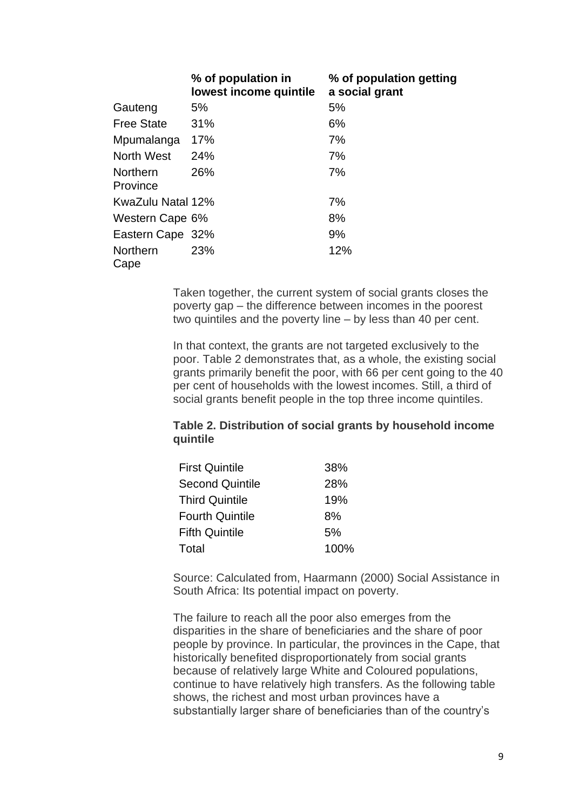|                             | % of population in<br>lowest income quintile | % of population getting<br>a social grant |
|-----------------------------|----------------------------------------------|-------------------------------------------|
| Gauteng                     | 5%                                           | 5%                                        |
| <b>Free State</b>           | 31%                                          | 6%                                        |
| Mpumalanga                  | 17%                                          | 7%                                        |
| North West                  | 24%                                          | 7%                                        |
| <b>Northern</b><br>Province | 26%                                          | 7%                                        |
| KwaZulu Natal 12%           |                                              | 7%                                        |
| Western Cape 6%             |                                              | 8%                                        |
| Eastern Cape 32%            |                                              | 9%                                        |
| Northern<br>Cape            | <b>23%</b>                                   | 12%                                       |

Taken together, the current system of social grants closes the poverty gap – the difference between incomes in the poorest two quintiles and the poverty line – by less than 40 per cent.

In that context, the grants are not targeted exclusively to the poor. Table 2 demonstrates that, as a whole, the existing social grants primarily benefit the poor, with 66 per cent going to the 40 per cent of households with the lowest incomes. Still, a third of social grants benefit people in the top three income quintiles.

# **Table 2. Distribution of social grants by household income quintile**

| <b>First Quintile</b>  | 38%  |
|------------------------|------|
| <b>Second Quintile</b> | 28%  |
| <b>Third Quintile</b>  | 19%  |
| <b>Fourth Quintile</b> | 8%   |
| <b>Fifth Quintile</b>  | 5%   |
| Total                  | 100% |

Source: Calculated from, Haarmann (2000) Social Assistance in South Africa: Its potential impact on poverty.

The failure to reach all the poor also emerges from the disparities in the share of beneficiaries and the share of poor people by province. In particular, the provinces in the Cape, that historically benefited disproportionately from social grants because of relatively large White and Coloured populations, continue to have relatively high transfers. As the following table shows, the richest and most urban provinces have a substantially larger share of beneficiaries than of the country's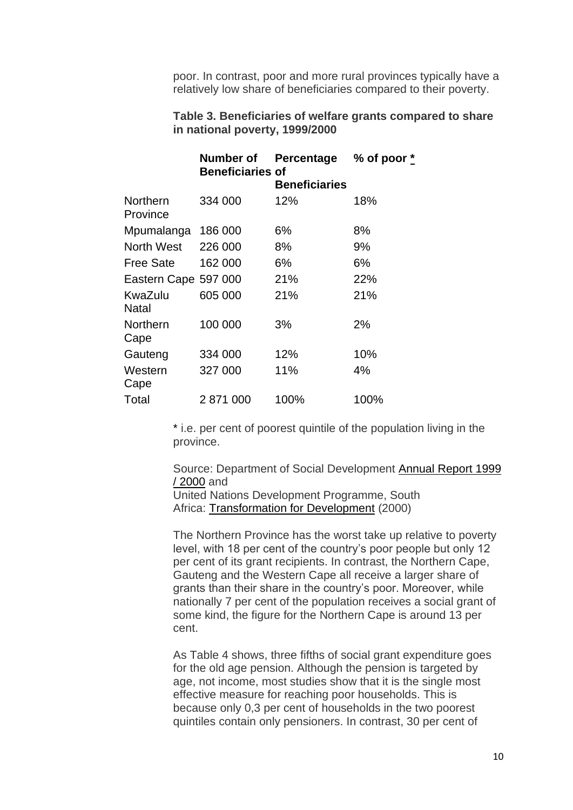poor. In contrast, poor and more rural provinces typically have a relatively low share of beneficiaries compared to their poverty.

## **Table 3. Beneficiaries of welfare grants compared to share in national poverty, 1999/2000**

| Number of            | Percentage           | % of poor $*$           |
|----------------------|----------------------|-------------------------|
|                      | <b>Beneficiaries</b> |                         |
| 334 000              | 12%                  | 18%                     |
| 186 000              | 6%                   | 8%                      |
| 226 000              | 8%                   | 9%                      |
| 162 000              | 6%                   | 6%                      |
| Eastern Cape 597 000 | 21%                  | 22%                     |
| 605 000              | 21%                  | 21%                     |
| 100 000              | 3%                   | 2%                      |
| 334 000              | 12%                  | 10%                     |
| 327 000              | 11%                  | 4%                      |
| 2 871 000            | 100%                 | 100%                    |
|                      |                      | <b>Beneficiaries of</b> |

\* i.e. per cent of poorest quintile of the population living in the province.

Source: Department of Social Development [Annual Report 1999](http://www.welfare.gov.za/Documents/archive/2000%20-1996/annual%20reports/1999-2000/2000.htm)  [/ 2000](http://www.welfare.gov.za/Documents/archive/2000%20-1996/annual%20reports/1999-2000/2000.htm) and

United Nations Development Programme, South Africa: [Transformation for Development](http://www.undp.org.za/sahdr2000/sahdr20002.html) (2000)

The Northern Province has the worst take up relative to poverty level, with 18 per cent of the country's poor people but only 12 per cent of its grant recipients. In contrast, the Northern Cape, Gauteng and the Western Cape all receive a larger share of grants than their share in the country's poor. Moreover, while nationally 7 per cent of the population receives a social grant of some kind, the figure for the Northern Cape is around 13 per cent.

As Table 4 shows, three fifths of social grant expenditure goes for the old age pension. Although the pension is targeted by age, not income, most studies show that it is the single most effective measure for reaching poor households. This is because only 0,3 per cent of households in the two poorest quintiles contain only pensioners. In contrast, 30 per cent of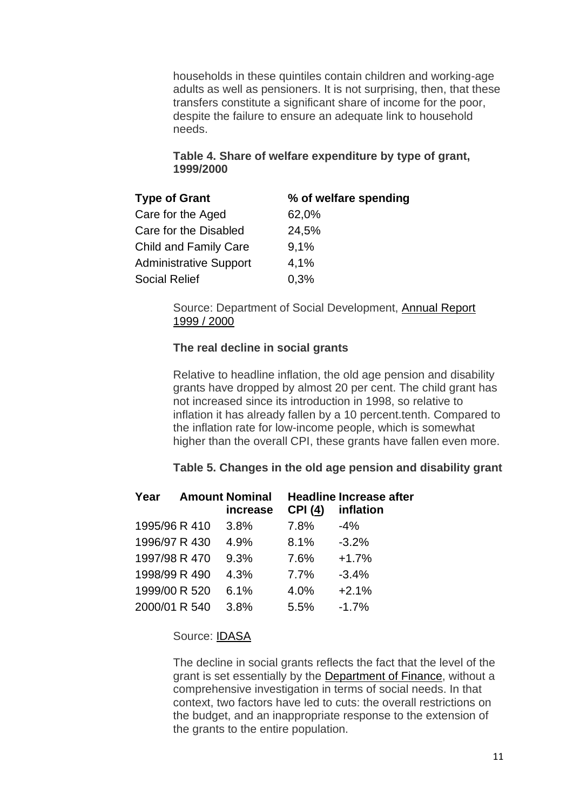households in these quintiles contain children and working-age adults as well as pensioners. It is not surprising, then, that these transfers constitute a significant share of income for the poor, despite the failure to ensure an adequate link to household needs.

# **Table 4. Share of welfare expenditure by type of grant, 1999/2000**

| <b>Type of Grant</b>          | % of welfare spending |
|-------------------------------|-----------------------|
| Care for the Aged             | 62,0%                 |
| Care for the Disabled         | 24,5%                 |
| <b>Child and Family Care</b>  | 9,1%                  |
| <b>Administrative Support</b> | 4,1%                  |
| <b>Social Relief</b>          | 0,3%                  |

Source: Department of Social Development, [Annual Report](http://www.welfare.gov.za/Documents/archive/2000%20-1996/annual%20reports/1999-2000/2000.htm)  [1999 / 2000](http://www.welfare.gov.za/Documents/archive/2000%20-1996/annual%20reports/1999-2000/2000.htm)

# **The real decline in social grants**

Relative to headline inflation, the old age pension and disability grants have dropped by almost 20 per cent. The child grant has not increased since its introduction in 1998, so relative to inflation it has already fallen by a 10 percent.tenth. Compared to the inflation rate for low-income people, which is somewhat higher than the overall CPI, these grants have fallen even more.

# **Table 5. Changes in the old age pension and disability grant**

| Year          | <b>Amount Nominal</b><br>increase | <b>CPI (4)</b> | <b>Headline Increase after</b><br>inflation |
|---------------|-----------------------------------|----------------|---------------------------------------------|
| 1995/96 R 410 | 3.8%                              | 7.8%           | $-4%$                                       |
| 1996/97 R 430 | 4.9%                              | 8.1%           | $-3.2%$                                     |
| 1997/98 R 470 | 9.3%                              | 7.6%           | $+1.7%$                                     |
| 1998/99 R 490 | 4.3%                              | 7.7%           | $-3.4%$                                     |
| 1999/00 R 520 | 6.1%                              | 4.0%           | $+2.1%$                                     |
| 2000/01 R 540 | 3.8%                              | 5.5%           | $-1.7%$                                     |

# Source: [IDASA](http://www.idasa.org.za/)

The decline in social grants reflects the fact that the level of the grant is set essentially by the [Department of Finance,](http://www.finance.gov.za/) without a comprehensive investigation in terms of social needs. In that context, two factors have led to cuts: the overall restrictions on the budget, and an inappropriate response to the extension of the grants to the entire population.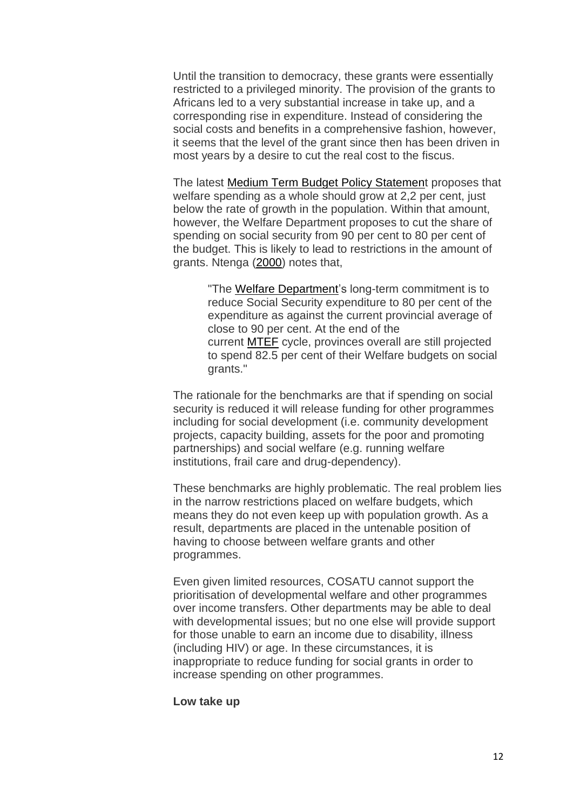Until the transition to democracy, these grants were essentially restricted to a privileged minority. The provision of the grants to Africans led to a very substantial increase in take up, and a corresponding rise in expenditure. Instead of considering the social costs and benefits in a comprehensive fashion, however, it seems that the level of the grant since then has been driven in most years by a desire to cut the real cost to the fiscus.

The latest [Medium Term Budget Policy Statement](http://www.finance.gov.za/documents/mtbps/2000/default.htm) proposes that welfare spending as a whole should grow at 2,2 per cent, just below the rate of growth in the population. Within that amount, however, the Welfare Department proposes to cut the share of spending on social security from 90 per cent to 80 per cent of the budget. This is likely to lead to restrictions in the amount of grants. Ntenga [\(2000\)](http://www.idasa.org.za/bis/briefs/brief39.htm) notes that,

> "The [Welfare Department'](http://www.welfare.gov.za/)s long-term commitment is to reduce Social Security expenditure to 80 per cent of the expenditure as against the current provincial average of close to 90 per cent. At the end of the current [MTEF](http://www.finance.gov.za/documents/mtbps/2000/default.htm) cycle, provinces overall are still projected to spend 82.5 per cent of their Welfare budgets on social grants."

The rationale for the benchmarks are that if spending on social security is reduced it will release funding for other programmes including for social development (i.e. community development projects, capacity building, assets for the poor and promoting partnerships) and social welfare (e.g. running welfare institutions, frail care and drug-dependency).

These benchmarks are highly problematic. The real problem lies in the narrow restrictions placed on welfare budgets, which means they do not even keep up with population growth. As a result, departments are placed in the untenable position of having to choose between welfare grants and other programmes.

Even given limited resources, COSATU cannot support the prioritisation of developmental welfare and other programmes over income transfers. Other departments may be able to deal with developmental issues; but no one else will provide support for those unable to earn an income due to disability, illness (including HIV) or age. In these circumstances, it is inappropriate to reduce funding for social grants in order to increase spending on other programmes.

#### **Low take up**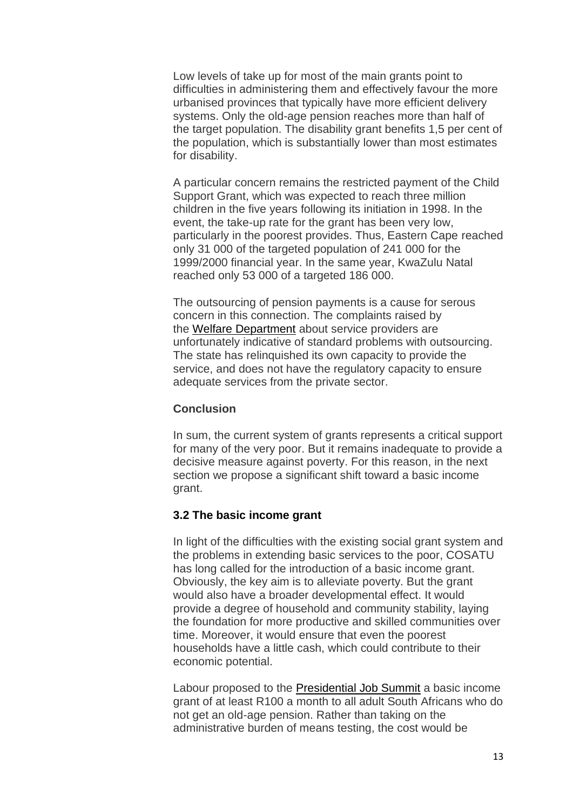Low levels of take up for most of the main grants point to difficulties in administering them and effectively favour the more urbanised provinces that typically have more efficient delivery systems. Only the old-age pension reaches more than half of the target population. The disability grant benefits 1,5 per cent of the population, which is substantially lower than most estimates for disability.

A particular concern remains the restricted payment of the Child Support Grant, which was expected to reach three million children in the five years following its initiation in 1998. In the event, the take-up rate for the grant has been very low, particularly in the poorest provides. Thus, Eastern Cape reached only 31 000 of the targeted population of 241 000 for the 1999/2000 financial year. In the same year, KwaZulu Natal reached only 53 000 of a targeted 186 000.

The outsourcing of pension payments is a cause for serous concern in this connection. The complaints raised by the [Welfare Department](http://www.welfare.gov.za/) about service providers are unfortunately indicative of standard problems with outsourcing. The state has relinquished its own capacity to provide the service, and does not have the regulatory capacity to ensure adequate services from the private sector.

## **Conclusion**

In sum, the current system of grants represents a critical support for many of the very poor. But it remains inadequate to provide a decisive measure against poverty. For this reason, in the next section we propose a significant shift toward a basic income grant.

#### **3.2 The basic income grant**

In light of the difficulties with the existing social grant system and the problems in extending basic services to the poor, COSATU has long called for the introduction of a basic income grant. Obviously, the key aim is to alleviate poverty. But the grant would also have a broader developmental effect. It would provide a degree of household and community stability, laying the foundation for more productive and skilled communities over time. Moreover, it would ensure that even the poorest households have a little cash, which could contribute to their economic potential.

Labour proposed to the [Presidential Job Summit](http://www.polity.org.za/govdocs/summit/jobsummit.html) a basic income grant of at least R100 a month to all adult South Africans who do not get an old-age pension. Rather than taking on the administrative burden of means testing, the cost would be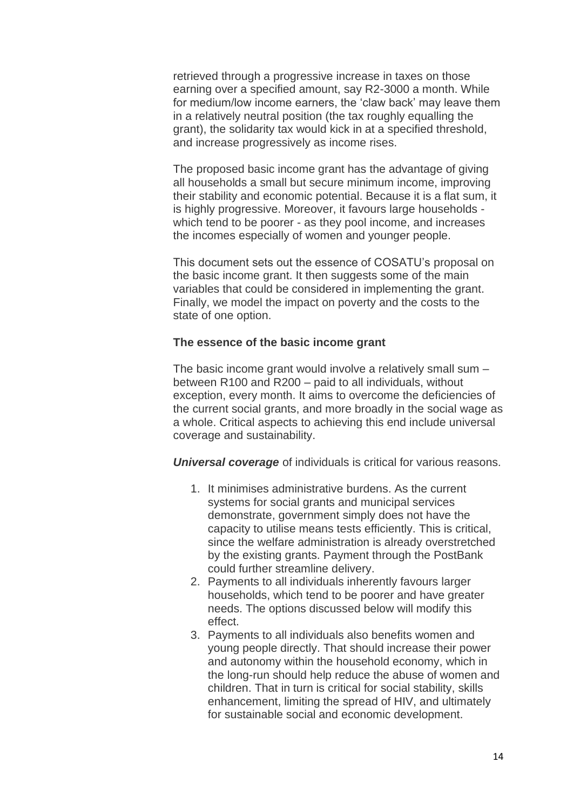retrieved through a progressive increase in taxes on those earning over a specified amount, say R2-3000 a month. While for medium/low income earners, the 'claw back' may leave them in a relatively neutral position (the tax roughly equalling the grant), the solidarity tax would kick in at a specified threshold, and increase progressively as income rises.

The proposed basic income grant has the advantage of giving all households a small but secure minimum income, improving their stability and economic potential. Because it is a flat sum, it is highly progressive. Moreover, it favours large households which tend to be poorer - as they pool income, and increases the incomes especially of women and younger people.

This document sets out the essence of COSATU's proposal on the basic income grant. It then suggests some of the main variables that could be considered in implementing the grant. Finally, we model the impact on poverty and the costs to the state of one option.

## **The essence of the basic income grant**

The basic income grant would involve a relatively small sum – between R100 and R200 – paid to all individuals, without exception, every month. It aims to overcome the deficiencies of the current social grants, and more broadly in the social wage as a whole. Critical aspects to achieving this end include universal coverage and sustainability.

*Universal coverage* of individuals is critical for various reasons.

- 1. It minimises administrative burdens. As the current systems for social grants and municipal services demonstrate, government simply does not have the capacity to utilise means tests efficiently. This is critical, since the welfare administration is already overstretched by the existing grants. Payment through the PostBank could further streamline delivery.
- 2. Payments to all individuals inherently favours larger households, which tend to be poorer and have greater needs. The options discussed below will modify this effect.
- 3. Payments to all individuals also benefits women and young people directly. That should increase their power and autonomy within the household economy, which in the long-run should help reduce the abuse of women and children. That in turn is critical for social stability, skills enhancement, limiting the spread of HIV, and ultimately for sustainable social and economic development.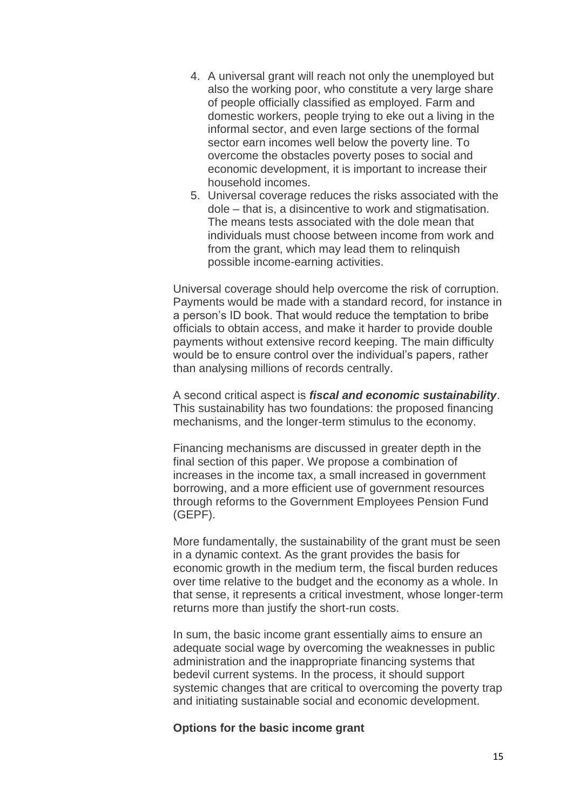- 4. A universal grant will reach not only the unemployed but also the working poor, who constitute a very large share of people officially classified as employed. Farm and domestic workers, people trying to eke out a living in the informal sector, and even large sections of the formal sector earn incomes well below the poverty line. To overcome the obstacles poverty poses to social and economic development, it is important to increase their household incomes.
- 5. Universal coverage reduces the risks associated with the dole – that is, a disincentive to work and stigmatisation. The means tests associated with the dole mean that individuals must choose between income from work and from the grant, which may lead them to relinquish possible income-earning activities.

Universal coverage should help overcome the risk of corruption. Payments would be made with a standard record, for instance in a person's ID book. That would reduce the temptation to bribe officials to obtain access, and make it harder to provide double payments without extensive record keeping. The main difficulty would be to ensure control over the individual's papers, rather than analysing millions of records centrally.

A second critical aspect is *fiscal and economic sustainability*. This sustainability has two foundations: the proposed financing mechanisms, and the longer-term stimulus to the economy.

Financing mechanisms are discussed in greater depth in the final section of this paper. We propose a combination of increases in the income tax, a small increased in government borrowing, and a more efficient use of government resources through reforms to the Government Employees Pension Fund (GEPF).

More fundamentally, the sustainability of the grant must be seen in a dynamic context. As the grant provides the basis for economic growth in the medium term, the fiscal burden reduces over time relative to the budget and the economy as a whole. In that sense, it represents a critical investment, whose longer-term returns more than justify the short-run costs.

In sum, the basic income grant essentially aims to ensure an adequate social wage by overcoming the weaknesses in public administration and the inappropriate financing systems that bedevil current systems. In the process, it should support systemic changes that are critical to overcoming the poverty trap and initiating sustainable social and economic development.

#### **Options for the basic income grant**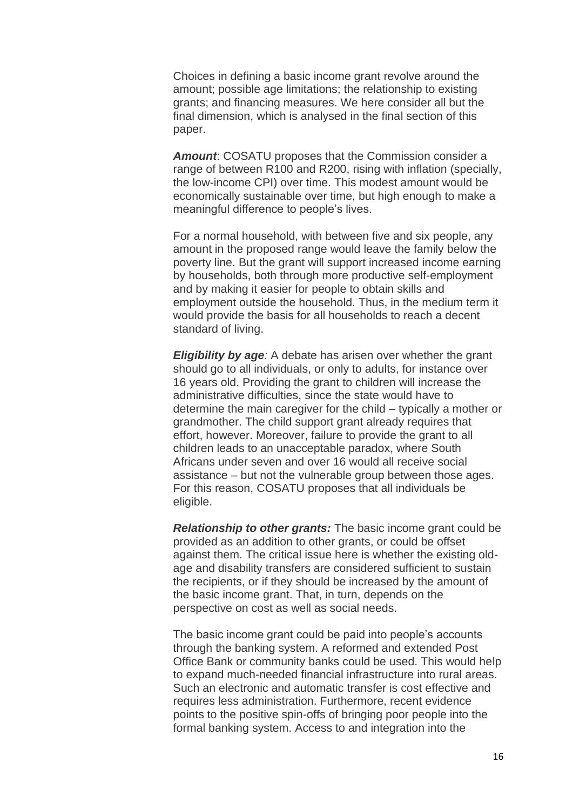Choices in defining a basic income grant revolve around the amount; possible age limitations; the relationship to existing grants; and financing measures. We here consider all but the final dimension, which is analysed in the final section of this paper.

*Amount*: COSATU proposes that the Commission consider a range of between R100 and R200, rising with inflation (specially, the low-income CPI) over time. This modest amount would be economically sustainable over time, but high enough to make a meaningful difference to people's lives.

For a normal household, with between five and six people, any amount in the proposed range would leave the family below the poverty line. But the grant will support increased income earning by households, both through more productive self-employment and by making it easier for people to obtain skills and employment outside the household. Thus, in the medium term it would provide the basis for all households to reach a decent standard of living.

*Eligibility by age:* A debate has arisen over whether the grant should go to all individuals, or only to adults, for instance over 16 years old. Providing the grant to children will increase the administrative difficulties, since the state would have to determine the main caregiver for the child – typically a mother or grandmother. The child support grant already requires that effort, however. Moreover, failure to provide the grant to all children leads to an unacceptable paradox, where South Africans under seven and over 16 would all receive social assistance – but not the vulnerable group between those ages. For this reason, COSATU proposes that all individuals be eligible.

*Relationship to other grants:* The basic income grant could be provided as an addition to other grants, or could be offset against them. The critical issue here is whether the existing oldage and disability transfers are considered sufficient to sustain the recipients, or if they should be increased by the amount of the basic income grant. That, in turn, depends on the perspective on cost as well as social needs.

The basic income grant could be paid into people's accounts through the banking system. A reformed and extended Post Office Bank or community banks could be used. This would help to expand much-needed financial infrastructure into rural areas. Such an electronic and automatic transfer is cost effective and requires less administration. Furthermore, recent evidence points to the positive spin-offs of bringing poor people into the formal banking system. Access to and integration into the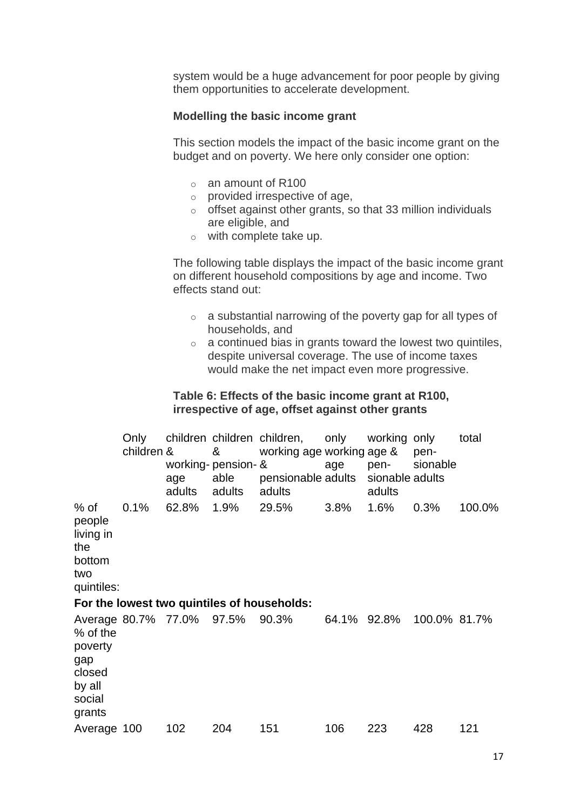system would be a huge advancement for poor people by giving them opportunities to accelerate development.

#### **Modelling the basic income grant**

This section models the impact of the basic income grant on the budget and on poverty. We here only consider one option:

- o an amount of R100
- $\circ$  provided irrespective of age,
- $\circ$  offset against other grants, so that 33 million individuals are eligible, and
- o with complete take up.

The following table displays the impact of the basic income grant on different household compositions by age and income. Two effects stand out:

- o a substantial narrowing of the poverty gap for all types of households, and
- $\circ$  a continued bias in grants toward the lowest two quintiles, despite universal coverage. The use of income taxes would make the net impact even more progressive.

## **Table 6: Effects of the basic income grant at R100, irrespective of age, offset against other grants**

|                                                                                                 | Only<br>children & | age<br>adults | &<br>working- pension- &<br>able<br>adults | children children children, only<br>working age working age &<br>pensionable adults sionable adults<br>adults | age         | working only<br>pen-<br>adults | pen-<br>sionable | total  |
|-------------------------------------------------------------------------------------------------|--------------------|---------------|--------------------------------------------|---------------------------------------------------------------------------------------------------------------|-------------|--------------------------------|------------------|--------|
| % of<br>people<br>living in<br>the<br>bottom<br>two<br>quintiles:                               | 0.1%               | 62.8% 1.9%    |                                            | 29.5%<br>For the lowest two quintiles of households:                                                          | 3.8%        | 1.6%                           | 0.3%             | 100.0% |
| Average 80.7% 77.0% 97.5%<br>% of the<br>poverty<br>gap<br>closed<br>by all<br>social<br>grants |                    |               |                                            | 90.3%                                                                                                         | 64.1% 92.8% |                                | 100.0% 81.7%     |        |
| Average 100                                                                                     |                    | 102           | 204                                        | 151                                                                                                           | 106         | 223                            | 428              | 121    |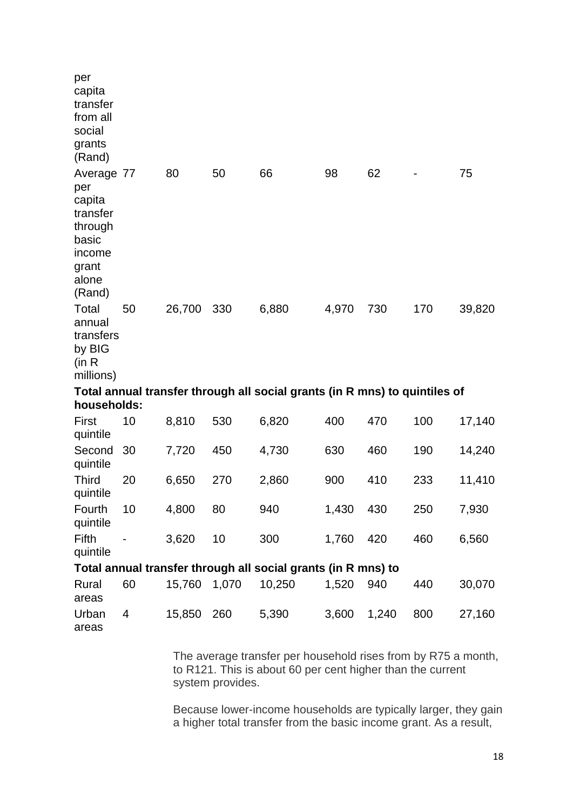| per<br>capita<br>transfer<br>from all<br>social<br>grants<br>(Rand)                               |    |        |       |                                                                            |       |       |     |        |
|---------------------------------------------------------------------------------------------------|----|--------|-------|----------------------------------------------------------------------------|-------|-------|-----|--------|
| Average 77<br>per<br>capita<br>transfer<br>through<br>basic<br>income<br>grant<br>alone<br>(Rand) |    | 80     | 50    | 66                                                                         | 98    | 62    |     | 75     |
| Total<br>annual<br>transfers<br>by BIG<br>(in R)<br>millions)                                     | 50 | 26,700 | 330   | 6,880                                                                      | 4,970 | 730   | 170 | 39,820 |
| households:                                                                                       |    |        |       | Total annual transfer through all social grants (in R mns) to quintiles of |       |       |     |        |
| First                                                                                             | 10 | 8,810  | 530   | 6,820                                                                      | 400   | 470   | 100 | 17,140 |
| quintile<br>Second<br>quintile                                                                    | 30 | 7,720  | 450   | 4,730                                                                      | 630   | 460   | 190 | 14,240 |
| <b>Third</b><br>quintile                                                                          | 20 | 6,650  | 270   | 2,860                                                                      | 900   | 410   | 233 | 11,410 |
| Fourth<br>quintile                                                                                | 10 | 4,800  | 80    | 940                                                                        | 1,430 | 430   | 250 | 7,930  |
| Fifth<br>quintile                                                                                 |    | 3,620  | 10    | 300                                                                        | 1,760 | 420   | 460 | 6,560  |
|                                                                                                   |    |        |       | Total annual transfer through all social grants (in R mns) to              |       |       |     |        |
| Rural<br>areas                                                                                    | 60 | 15,760 | 1,070 | 10,250                                                                     | 1,520 | 940   | 440 | 30,070 |
| Urban<br>areas                                                                                    | 4  | 15,850 | 260   | 5,390                                                                      | 3,600 | 1,240 | 800 | 27,160 |

The average transfer per household rises from by R75 a month, to R121. This is about 60 per cent higher than the current system provides.

Because lower-income households are typically larger, they gain a higher total transfer from the basic income grant. As a result,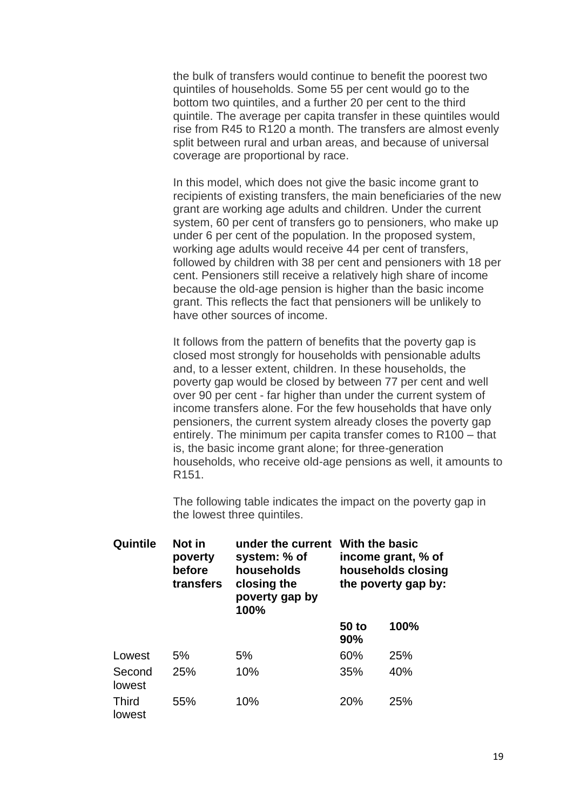the bulk of transfers would continue to benefit the poorest two quintiles of households. Some 55 per cent would go to the bottom two quintiles, and a further 20 per cent to the third quintile. The average per capita transfer in these quintiles would rise from R45 to R120 a month. The transfers are almost evenly split between rural and urban areas, and because of universal coverage are proportional by race.

In this model, which does not give the basic income grant to recipients of existing transfers, the main beneficiaries of the new grant are working age adults and children. Under the current system, 60 per cent of transfers go to pensioners, who make up under 6 per cent of the population. In the proposed system, working age adults would receive 44 per cent of transfers, followed by children with 38 per cent and pensioners with 18 per cent. Pensioners still receive a relatively high share of income because the old-age pension is higher than the basic income grant. This reflects the fact that pensioners will be unlikely to have other sources of income.

It follows from the pattern of benefits that the poverty gap is closed most strongly for households with pensionable adults and, to a lesser extent, children. In these households, the poverty gap would be closed by between 77 per cent and well over 90 per cent - far higher than under the current system of income transfers alone. For the few households that have only pensioners, the current system already closes the poverty gap entirely. The minimum per capita transfer comes to R100 – that is, the basic income grant alone; for three-generation households, who receive old-age pensions as well, it amounts to R151.

The following table indicates the impact on the poverty gap in the lowest three quintiles.

| Quintile               | Not in<br>poverty<br>before<br>transfers | under the current<br>system: % of<br>households<br>closing the<br>poverty gap by<br>100% | With the basic<br>income grant, % of<br>households closing<br>the poverty gap by: |      |  |
|------------------------|------------------------------------------|------------------------------------------------------------------------------------------|-----------------------------------------------------------------------------------|------|--|
|                        |                                          |                                                                                          | 50 to<br>90%                                                                      | 100% |  |
| Lowest                 | 5%                                       | 5%                                                                                       | 60%                                                                               | 25%  |  |
| Second<br>lowest       | 25%                                      | 10%                                                                                      | 35%                                                                               | 40%  |  |
| <b>Third</b><br>lowest | 55%                                      | 10%                                                                                      | 20%                                                                               | 25%  |  |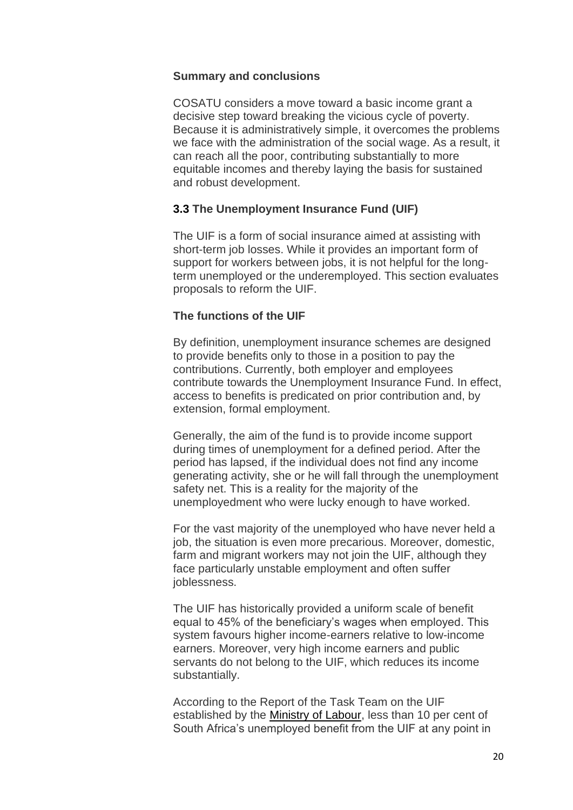#### **Summary and conclusions**

COSATU considers a move toward a basic income grant a decisive step toward breaking the vicious cycle of poverty. Because it is administratively simple, it overcomes the problems we face with the administration of the social wage. As a result, it can reach all the poor, contributing substantially to more equitable incomes and thereby laying the basis for sustained and robust development.

# **3.3 The Unemployment Insurance Fund (UIF)**

The UIF is a form of social insurance aimed at assisting with short-term job losses. While it provides an important form of support for workers between jobs, it is not helpful for the longterm unemployed or the underemployed. This section evaluates proposals to reform the UIF.

# **The functions of the UIF**

By definition, unemployment insurance schemes are designed to provide benefits only to those in a position to pay the contributions. Currently, both employer and employees contribute towards the Unemployment Insurance Fund. In effect, access to benefits is predicated on prior contribution and, by extension, formal employment.

Generally, the aim of the fund is to provide income support during times of unemployment for a defined period. After the period has lapsed, if the individual does not find any income generating activity, she or he will fall through the unemployment safety net. This is a reality for the majority of the unemployedment who were lucky enough to have worked.

For the vast majority of the unemployed who have never held a job, the situation is even more precarious. Moreover, domestic, farm and migrant workers may not join the UIF, although they face particularly unstable employment and often suffer joblessness.

The UIF has historically provided a uniform scale of benefit equal to 45% of the beneficiary's wages when employed. This system favours higher income-earners relative to low-income earners. Moreover, very high income earners and public servants do not belong to the UIF, which reduces its income substantially.

According to the Report of the Task Team on the UIF established by the [Ministry of Labour,](http://www.labour.gov.za/) less than 10 per cent of South Africa's unemployed benefit from the UIF at any point in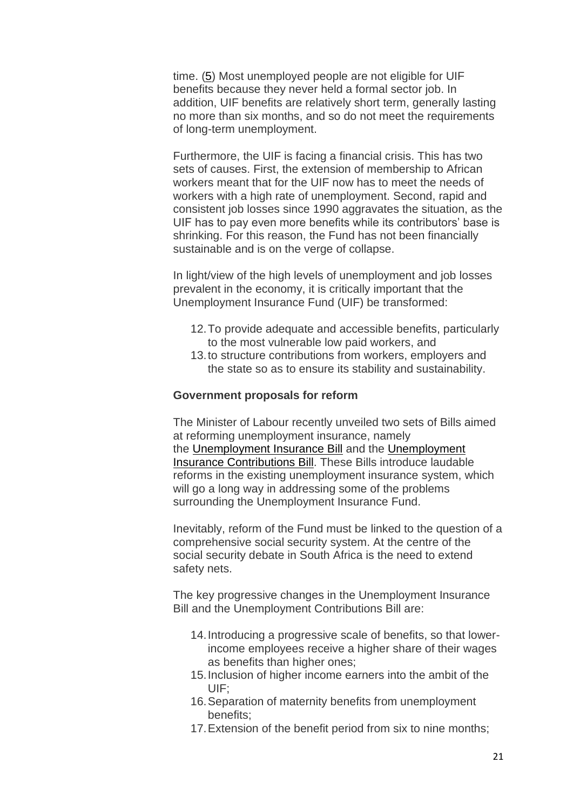time. [\(5\)](http://www.cosatu.org.za/show.php?ID=831#f5) Most unemployed people are not eligible for UIF benefits because they never held a formal sector job. In addition, UIF benefits are relatively short term, generally lasting no more than six months, and so do not meet the requirements of long-term unemployment.

Furthermore, the UIF is facing a financial crisis. This has two sets of causes. First, the extension of membership to African workers meant that for the UIF now has to meet the needs of workers with a high rate of unemployment. Second, rapid and consistent job losses since 1990 aggravates the situation, as the UIF has to pay even more benefits while its contributors' base is shrinking. For this reason, the Fund has not been financially sustainable and is on the verge of collapse.

In light/view of the high levels of unemployment and job losses prevalent in the economy, it is critically important that the Unemployment Insurance Fund (UIF) be transformed:

- 12.To provide adequate and accessible benefits, particularly to the most vulnerable low paid workers, and
- 13.to structure contributions from workers, employers and the state so as to ensure its stability and sustainability.

#### **Government proposals for reform**

The Minister of Labour recently unveiled two sets of Bills aimed at reforming unemployment insurance, namely the [Unemployment Insurance Bill](http://www.polity.org.za/govdocs/notices/2000/not0943.html) and the [Unemployment](http://www.polity.org.za/govdocs/bills/2000/insurecontri.html)  [Insurance Contributions Bill.](http://www.polity.org.za/govdocs/bills/2000/insurecontri.html) These Bills introduce laudable reforms in the existing unemployment insurance system, which will go a long way in addressing some of the problems surrounding the Unemployment Insurance Fund.

Inevitably, reform of the Fund must be linked to the question of a comprehensive social security system. At the centre of the social security debate in South Africa is the need to extend safety nets.

The key progressive changes in the Unemployment Insurance Bill and the Unemployment Contributions Bill are:

- 14.Introducing a progressive scale of benefits, so that lowerincome employees receive a higher share of their wages as benefits than higher ones;
- 15.Inclusion of higher income earners into the ambit of the UIF;
- 16.Separation of maternity benefits from unemployment benefits;
- 17.Extension of the benefit period from six to nine months;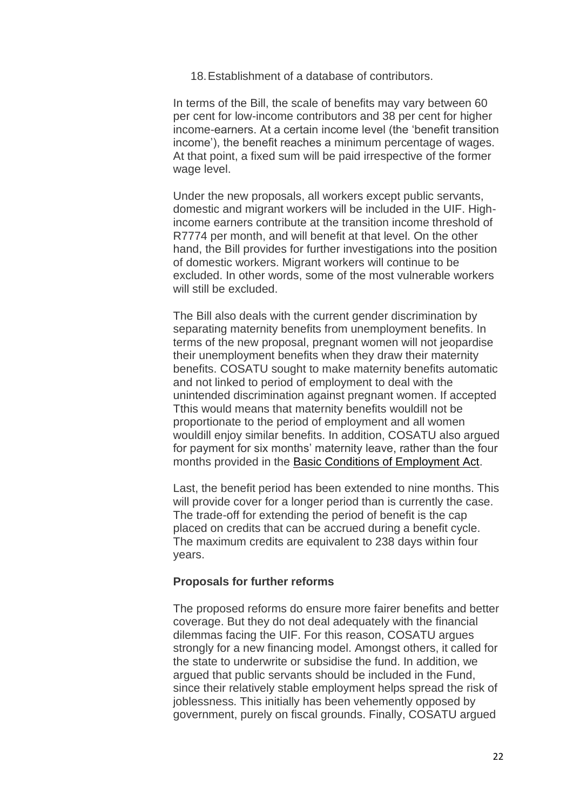18.Establishment of a database of contributors.

In terms of the Bill, the scale of benefits may vary between 60 per cent for low-income contributors and 38 per cent for higher income-earners. At a certain income level (the 'benefit transition income'), the benefit reaches a minimum percentage of wages. At that point, a fixed sum will be paid irrespective of the former wage level.

Under the new proposals, all workers except public servants, domestic and migrant workers will be included in the UIF. Highincome earners contribute at the transition income threshold of R7774 per month, and will benefit at that level. On the other hand, the Bill provides for further investigations into the position of domestic workers. Migrant workers will continue to be excluded. In other words, some of the most vulnerable workers will still be excluded.

The Bill also deals with the current gender discrimination by separating maternity benefits from unemployment benefits. In terms of the new proposal, pregnant women will not jeopardise their unemployment benefits when they draw their maternity benefits. COSATU sought to make maternity benefits automatic and not linked to period of employment to deal with the unintended discrimination against pregnant women. If accepted Tthis would means that maternity benefits wouldill not be proportionate to the period of employment and all women wouldill enjoy similar benefits. In addition, COSATU also argued for payment for six months' maternity leave, rather than the four months provided in the [Basic Conditions of Employment Act.](http://www.polity.org.za/govdocs/legislation/1997/act75.pdf)

Last, the benefit period has been extended to nine months. This will provide cover for a longer period than is currently the case. The trade-off for extending the period of benefit is the cap placed on credits that can be accrued during a benefit cycle. The maximum credits are equivalent to 238 days within four years.

#### **Proposals for further reforms**

The proposed reforms do ensure more fairer benefits and better coverage. But they do not deal adequately with the financial dilemmas facing the UIF. For this reason, COSATU argues strongly for a new financing model. Amongst others, it called for the state to underwrite or subsidise the fund. In addition, we argued that public servants should be included in the Fund, since their relatively stable employment helps spread the risk of joblessness. This initially has been vehemently opposed by government, purely on fiscal grounds. Finally, COSATU argued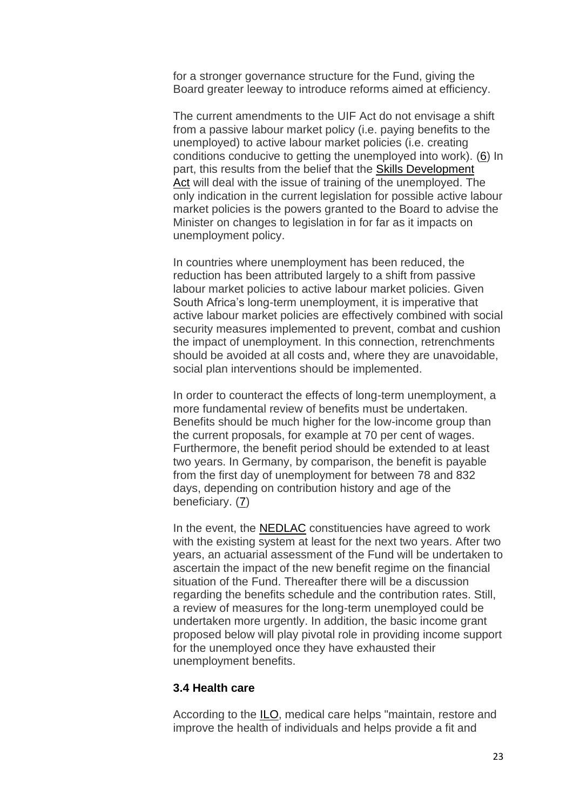for a stronger governance structure for the Fund, giving the Board greater leeway to introduce reforms aimed at efficiency.

The current amendments to the UIF Act do not envisage a shift from a passive labour market policy (i.e. paying benefits to the unemployed) to active labour market policies (i.e. creating conditions conducive to getting the unemployed into work). [\(6\)](http://www.cosatu.org.za/show.php?ID=831#f6) In part, this results from the belief that the [Skills Development](http://www.polity.org.za/govdocs/legislation/1998/act98-097.html)  [Act](http://www.polity.org.za/govdocs/legislation/1998/act98-097.html) will deal with the issue of training of the unemployed. The only indication in the current legislation for possible active labour market policies is the powers granted to the Board to advise the Minister on changes to legislation in for far as it impacts on unemployment policy.

In countries where unemployment has been reduced, the reduction has been attributed largely to a shift from passive labour market policies to active labour market policies. Given South Africa's long-term unemployment, it is imperative that active labour market policies are effectively combined with social security measures implemented to prevent, combat and cushion the impact of unemployment. In this connection, retrenchments should be avoided at all costs and, where they are unavoidable, social plan interventions should be implemented.

In order to counteract the effects of long-term unemployment, a more fundamental review of benefits must be undertaken. Benefits should be much higher for the low-income group than the current proposals, for example at 70 per cent of wages. Furthermore, the benefit period should be extended to at least two years. In Germany, by comparison, the benefit is payable from the first day of unemployment for between 78 and 832 days, depending on contribution history and age of the beneficiary. [\(7\)](http://www.cosatu.org.za/show.php?ID=831#f7)

In the event, the [NEDLAC](http://www.nedlac.org.za/) constituencies have agreed to work with the existing system at least for the next two years. After two years, an actuarial assessment of the Fund will be undertaken to ascertain the impact of the new benefit regime on the financial situation of the Fund. Thereafter there will be a discussion regarding the benefits schedule and the contribution rates. Still, a review of measures for the long-term unemployed could be undertaken more urgently. In addition, the basic income grant proposed below will play pivotal role in providing income support for the unemployed once they have exhausted their unemployment benefits.

#### **3.4 Health care**

According to the [ILO,](http://www.ilo.org/) medical care helps "maintain, restore and improve the health of individuals and helps provide a fit and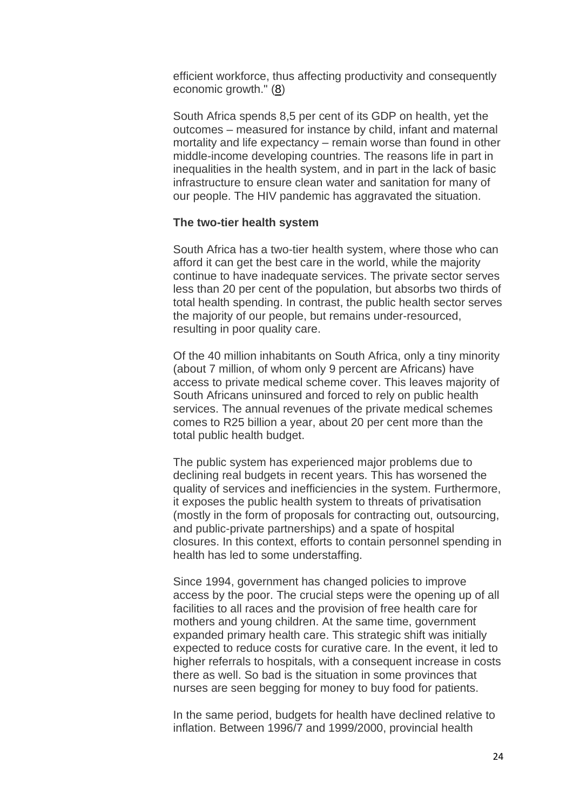efficient workforce, thus affecting productivity and consequently economic growth." [\(8\)](http://www.cosatu.org.za/show.php?ID=831#f8)

South Africa spends 8,5 per cent of its GDP on health, yet the outcomes – measured for instance by child, infant and maternal mortality and life expectancy – remain worse than found in other middle-income developing countries. The reasons life in part in inequalities in the health system, and in part in the lack of basic infrastructure to ensure clean water and sanitation for many of our people. The HIV pandemic has aggravated the situation.

#### **The two-tier health system**

South Africa has a two-tier health system, where those who can afford it can get the best care in the world, while the majority continue to have inadequate services. The private sector serves less than 20 per cent of the population, but absorbs two thirds of total health spending. In contrast, the public health sector serves the majority of our people, but remains under-resourced, resulting in poor quality care.

Of the 40 million inhabitants on South Africa, only a tiny minority (about 7 million, of whom only 9 percent are Africans) have access to private medical scheme cover. This leaves majority of South Africans uninsured and forced to rely on public health services. The annual revenues of the private medical schemes comes to R25 billion a year, about 20 per cent more than the total public health budget.

The public system has experienced major problems due to declining real budgets in recent years. This has worsened the quality of services and inefficiencies in the system. Furthermore, it exposes the public health system to threats of privatisation (mostly in the form of proposals for contracting out, outsourcing, and public-private partnerships) and a spate of hospital closures. In this context, efforts to contain personnel spending in health has led to some understaffing.

Since 1994, government has changed policies to improve access by the poor. The crucial steps were the opening up of all facilities to all races and the provision of free health care for mothers and young children. At the same time, government expanded primary health care. This strategic shift was initially expected to reduce costs for curative care. In the event, it led to higher referrals to hospitals, with a consequent increase in costs there as well. So bad is the situation in some provinces that nurses are seen begging for money to buy food for patients.

In the same period, budgets for health have declined relative to inflation. Between 1996/7 and 1999/2000, provincial health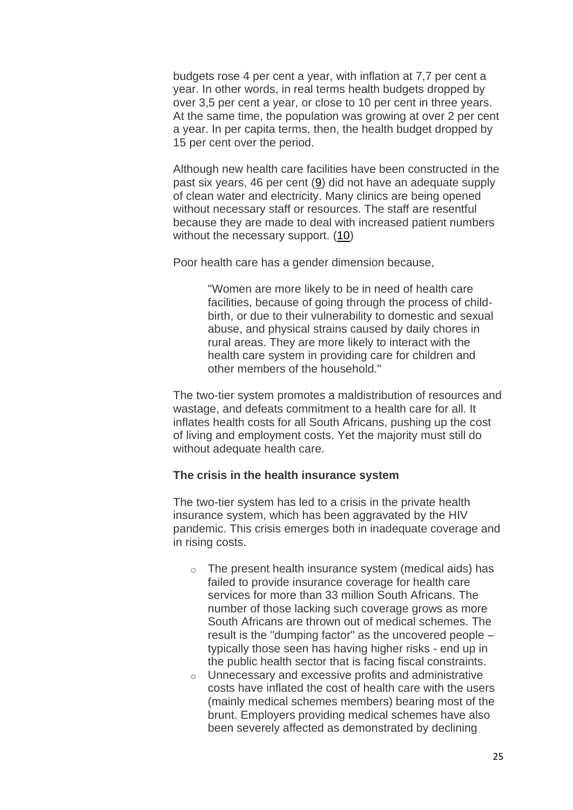budgets rose 4 per cent a year, with inflation at 7,7 per cent a year. In other words, in real terms health budgets dropped by over 3,5 per cent a year, or close to 10 per cent in three years. At the same time, the population was growing at over 2 per cent a year. In per capita terms, then, the health budget dropped by 15 per cent over the period.

Although new health care facilities have been constructed in the past six years, 46 per cent [\(9\)](http://www.cosatu.org.za/show.php?ID=831#f9) did not have an adequate supply of clean water and electricity. Many clinics are being opened without necessary staff or resources. The staff are resentful because they are made to deal with increased patient numbers without the necessary support. [\(10\)](http://www.cosatu.org.za/show.php?ID=831#f10)

Poor health care has a gender dimension because,

"Women are more likely to be in need of health care facilities, because of going through the process of childbirth, or due to their vulnerability to domestic and sexual abuse, and physical strains caused by daily chores in rural areas. They are more likely to interact with the health care system in providing care for children and other members of the household."

The two-tier system promotes a maldistribution of resources and wastage, and defeats commitment to a health care for all. It inflates health costs for all South Africans, pushing up the cost of living and employment costs. Yet the majority must still do without adequate health care.

#### **The crisis in the health insurance system**

The two-tier system has led to a crisis in the private health insurance system, which has been aggravated by the HIV pandemic. This crisis emerges both in inadequate coverage and in rising costs.

- $\circ$  The present health insurance system (medical aids) has failed to provide insurance coverage for health care services for more than 33 million South Africans. The number of those lacking such coverage grows as more South Africans are thrown out of medical schemes. The result is the "dumping factor" as the uncovered people – typically those seen has having higher risks - end up in the public health sector that is facing fiscal constraints.
- o Unnecessary and excessive profits and administrative costs have inflated the cost of health care with the users (mainly medical schemes members) bearing most of the brunt. Employers providing medical schemes have also been severely affected as demonstrated by declining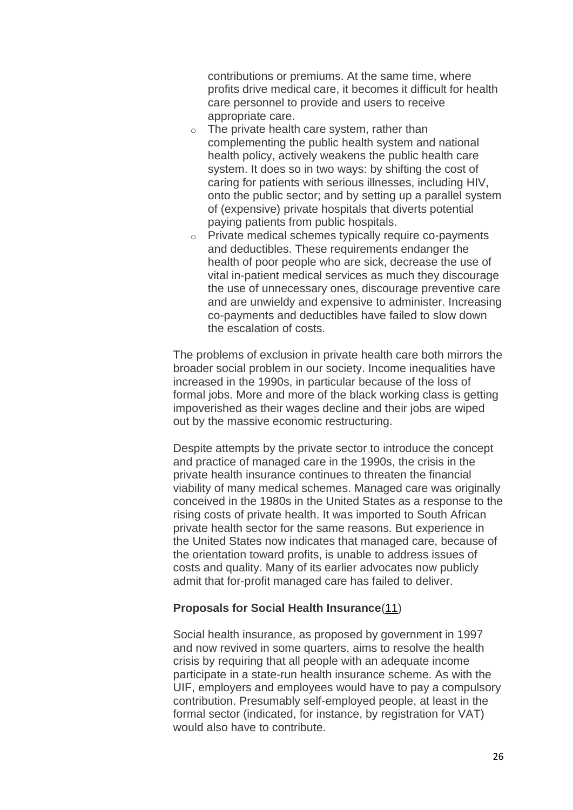contributions or premiums. At the same time, where profits drive medical care, it becomes it difficult for health care personnel to provide and users to receive appropriate care.

- $\circ$  The private health care system, rather than complementing the public health system and national health policy, actively weakens the public health care system. It does so in two ways: by shifting the cost of caring for patients with serious illnesses, including HIV, onto the public sector; and by setting up a parallel system of (expensive) private hospitals that diverts potential paying patients from public hospitals.
- o Private medical schemes typically require co-payments and deductibles. These requirements endanger the health of poor people who are sick, decrease the use of vital in-patient medical services as much they discourage the use of unnecessary ones, discourage preventive care and are unwieldy and expensive to administer. Increasing co-payments and deductibles have failed to slow down the escalation of costs.

The problems of exclusion in private health care both mirrors the broader social problem in our society. Income inequalities have increased in the 1990s, in particular because of the loss of formal jobs. More and more of the black working class is getting impoverished as their wages decline and their jobs are wiped out by the massive economic restructuring.

Despite attempts by the private sector to introduce the concept and practice of managed care in the 1990s, the crisis in the private health insurance continues to threaten the financial viability of many medical schemes. Managed care was originally conceived in the 1980s in the United States as a response to the rising costs of private health. It was imported to South African private health sector for the same reasons. But experience in the United States now indicates that managed care, because of the orientation toward profits, is unable to address issues of costs and quality. Many of its earlier advocates now publicly admit that for-profit managed care has failed to deliver.

#### **Proposals for Social Health Insurance**[\(11\)](http://www.cosatu.org.za/show.php?ID=831#f11)

Social health insurance, as proposed by government in 1997 and now revived in some quarters, aims to resolve the health crisis by requiring that all people with an adequate income participate in a state-run health insurance scheme. As with the UIF, employers and employees would have to pay a compulsory contribution. Presumably self-employed people, at least in the formal sector (indicated, for instance, by registration for VAT) would also have to contribute.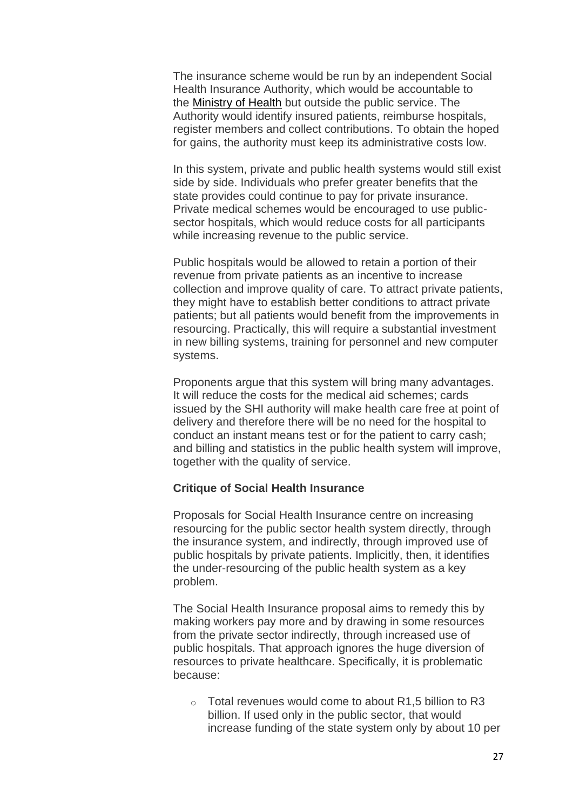The insurance scheme would be run by an independent Social Health Insurance Authority, which would be accountable to the [Ministry of Health](http://www.health.gov.za/) but outside the public service. The Authority would identify insured patients, reimburse hospitals, register members and collect contributions. To obtain the hoped for gains, the authority must keep its administrative costs low.

In this system, private and public health systems would still exist side by side. Individuals who prefer greater benefits that the state provides could continue to pay for private insurance. Private medical schemes would be encouraged to use publicsector hospitals, which would reduce costs for all participants while increasing revenue to the public service.

Public hospitals would be allowed to retain a portion of their revenue from private patients as an incentive to increase collection and improve quality of care. To attract private patients, they might have to establish better conditions to attract private patients; but all patients would benefit from the improvements in resourcing. Practically, this will require a substantial investment in new billing systems, training for personnel and new computer systems.

Proponents argue that this system will bring many advantages. It will reduce the costs for the medical aid schemes; cards issued by the SHI authority will make health care free at point of delivery and therefore there will be no need for the hospital to conduct an instant means test or for the patient to carry cash; and billing and statistics in the public health system will improve, together with the quality of service.

#### **Critique of Social Health Insurance**

Proposals for Social Health Insurance centre on increasing resourcing for the public sector health system directly, through the insurance system, and indirectly, through improved use of public hospitals by private patients. Implicitly, then, it identifies the under-resourcing of the public health system as a key problem.

The Social Health Insurance proposal aims to remedy this by making workers pay more and by drawing in some resources from the private sector indirectly, through increased use of public hospitals. That approach ignores the huge diversion of resources to private healthcare. Specifically, it is problematic because:

 $\circ$  Total revenues would come to about R1.5 billion to R3 billion. If used only in the public sector, that would increase funding of the state system only by about 10 per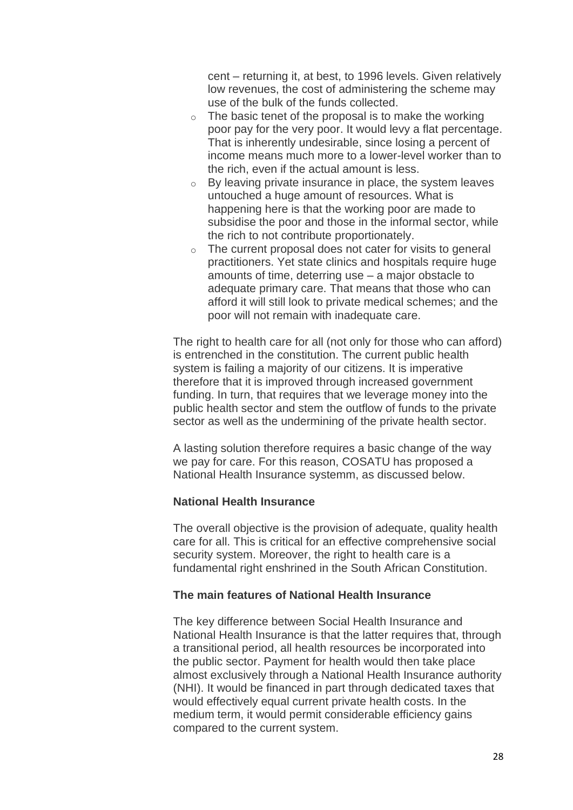cent – returning it, at best, to 1996 levels. Given relatively low revenues, the cost of administering the scheme may use of the bulk of the funds collected.

- $\circ$  The basic tenet of the proposal is to make the working poor pay for the very poor. It would levy a flat percentage. That is inherently undesirable, since losing a percent of income means much more to a lower-level worker than to the rich, even if the actual amount is less.
- o By leaving private insurance in place, the system leaves untouched a huge amount of resources. What is happening here is that the working poor are made to subsidise the poor and those in the informal sector, while the rich to not contribute proportionately.
- $\circ$  The current proposal does not cater for visits to general practitioners. Yet state clinics and hospitals require huge amounts of time, deterring use – a major obstacle to adequate primary care. That means that those who can afford it will still look to private medical schemes; and the poor will not remain with inadequate care.

The right to health care for all (not only for those who can afford) is entrenched in the constitution. The current public health system is failing a majority of our citizens. It is imperative therefore that it is improved through increased government funding. In turn, that requires that we leverage money into the public health sector and stem the outflow of funds to the private sector as well as the undermining of the private health sector.

A lasting solution therefore requires a basic change of the way we pay for care. For this reason, COSATU has proposed a National Health Insurance systemm, as discussed below.

# **National Health Insurance**

The overall objective is the provision of adequate, quality health care for all. This is critical for an effective comprehensive social security system. Moreover, the right to health care is a fundamental right enshrined in the South African Constitution.

## **The main features of National Health Insurance**

The key difference between Social Health Insurance and National Health Insurance is that the latter requires that, through a transitional period, all health resources be incorporated into the public sector. Payment for health would then take place almost exclusively through a National Health Insurance authority (NHI). It would be financed in part through dedicated taxes that would effectively equal current private health costs. In the medium term, it would permit considerable efficiency gains compared to the current system.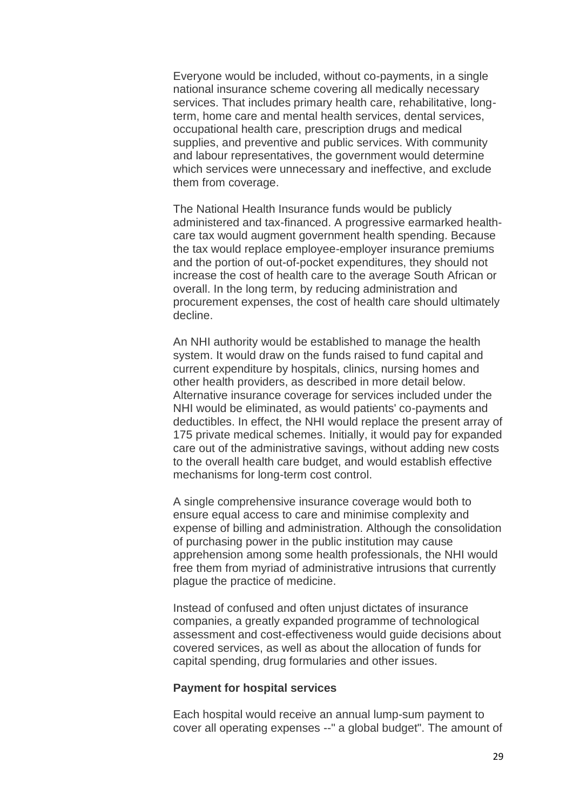Everyone would be included, without co-payments, in a single national insurance scheme covering all medically necessary services. That includes primary health care, rehabilitative, longterm, home care and mental health services, dental services, occupational health care, prescription drugs and medical supplies, and preventive and public services. With community and labour representatives, the government would determine which services were unnecessary and ineffective, and exclude them from coverage.

The National Health Insurance funds would be publicly administered and tax-financed. A progressive earmarked healthcare tax would augment government health spending. Because the tax would replace employee-employer insurance premiums and the portion of out-of-pocket expenditures, they should not increase the cost of health care to the average South African or overall. In the long term, by reducing administration and procurement expenses, the cost of health care should ultimately decline.

An NHI authority would be established to manage the health system. It would draw on the funds raised to fund capital and current expenditure by hospitals, clinics, nursing homes and other health providers, as described in more detail below. Alternative insurance coverage for services included under the NHI would be eliminated, as would patients' co-payments and deductibles. In effect, the NHI would replace the present array of 175 private medical schemes. Initially, it would pay for expanded care out of the administrative savings, without adding new costs to the overall health care budget, and would establish effective mechanisms for long-term cost control.

A single comprehensive insurance coverage would both to ensure equal access to care and minimise complexity and expense of billing and administration. Although the consolidation of purchasing power in the public institution may cause apprehension among some health professionals, the NHI would free them from myriad of administrative intrusions that currently plague the practice of medicine.

Instead of confused and often unjust dictates of insurance companies, a greatly expanded programme of technological assessment and cost-effectiveness would guide decisions about covered services, as well as about the allocation of funds for capital spending, drug formularies and other issues.

#### **Payment for hospital services**

Each hospital would receive an annual lump-sum payment to cover all operating expenses --" a global budget". The amount of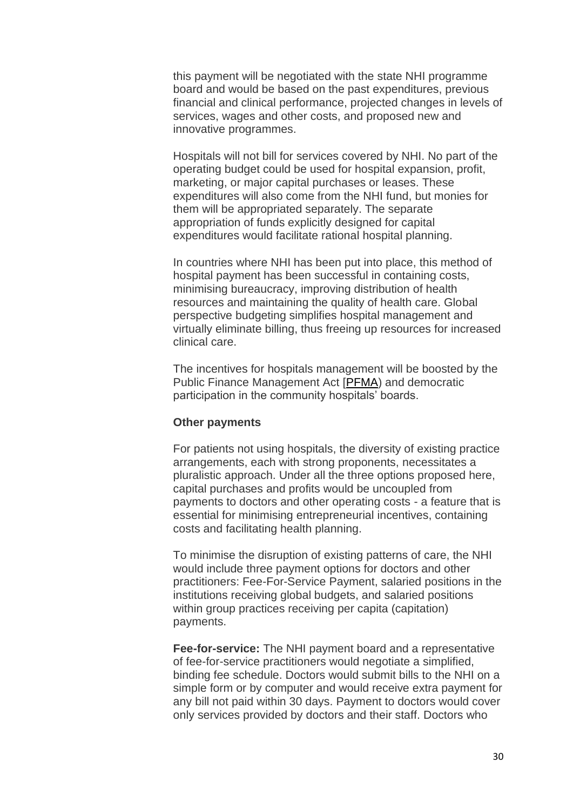this payment will be negotiated with the state NHI programme board and would be based on the past expenditures, previous financial and clinical performance, projected changes in levels of services, wages and other costs, and proposed new and innovative programmes.

Hospitals will not bill for services covered by NHI. No part of the operating budget could be used for hospital expansion, profit, marketing, or major capital purchases or leases. These expenditures will also come from the NHI fund, but monies for them will be appropriated separately. The separate appropriation of funds explicitly designed for capital expenditures would facilitate rational hospital planning.

In countries where NHI has been put into place, this method of hospital payment has been successful in containing costs, minimising bureaucracy, improving distribution of health resources and maintaining the quality of health care. Global perspective budgeting simplifies hospital management and virtually eliminate billing, thus freeing up resources for increased clinical care.

The incentives for hospitals management will be boosted by the Public Finance Management Act [\[PFMA\)](http://www.finance.gov.za/legislation/acts/pfma/default.htm) and democratic participation in the community hospitals' boards.

#### **Other payments**

For patients not using hospitals, the diversity of existing practice arrangements, each with strong proponents, necessitates a pluralistic approach. Under all the three options proposed here, capital purchases and profits would be uncoupled from payments to doctors and other operating costs - a feature that is essential for minimising entrepreneurial incentives, containing costs and facilitating health planning.

To minimise the disruption of existing patterns of care, the NHI would include three payment options for doctors and other practitioners: Fee-For-Service Payment, salaried positions in the institutions receiving global budgets, and salaried positions within group practices receiving per capita (capitation) payments.

**Fee-for-service:** The NHI payment board and a representative of fee-for-service practitioners would negotiate a simplified, binding fee schedule. Doctors would submit bills to the NHI on a simple form or by computer and would receive extra payment for any bill not paid within 30 days. Payment to doctors would cover only services provided by doctors and their staff. Doctors who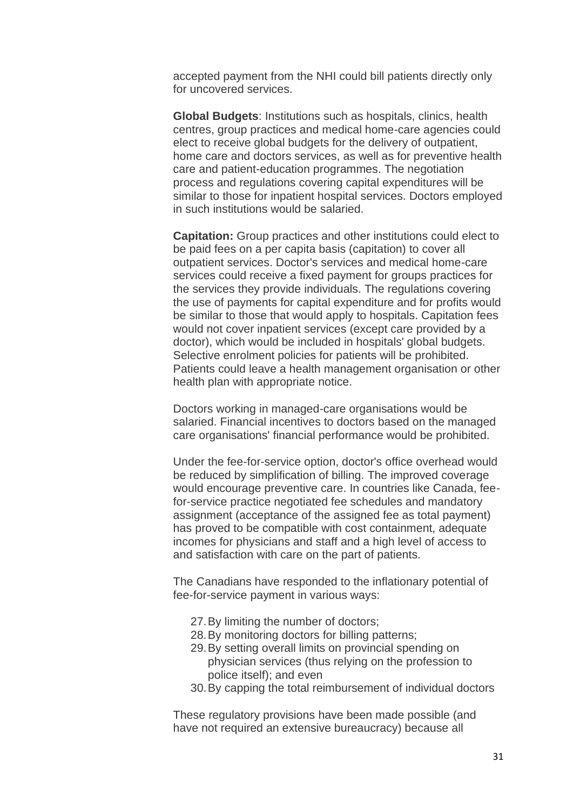accepted payment from the NHI could bill patients directly only for uncovered services.

**Global Budgets**: Institutions such as hospitals, clinics, health centres, group practices and medical home-care agencies could elect to receive global budgets for the delivery of outpatient, home care and doctors services, as well as for preventive health care and patient-education programmes. The negotiation process and regulations covering capital expenditures will be similar to those for inpatient hospital services. Doctors employed in such institutions would be salaried.

**Capitation:** Group practices and other institutions could elect to be paid fees on a per capita basis (capitation) to cover all outpatient services. Doctor's services and medical home-care services could receive a fixed payment for groups practices for the services they provide individuals. The regulations covering the use of payments for capital expenditure and for profits would be similar to those that would apply to hospitals. Capitation fees would not cover inpatient services (except care provided by a doctor), which would be included in hospitals' global budgets. Selective enrolment policies for patients will be prohibited. Patients could leave a health management organisation or other health plan with appropriate notice.

Doctors working in managed-care organisations would be salaried. Financial incentives to doctors based on the managed care organisations' financial performance would be prohibited.

Under the fee-for-service option, doctor's office overhead would be reduced by simplification of billing. The improved coverage would encourage preventive care. In countries like Canada, feefor-service practice negotiated fee schedules and mandatory assignment (acceptance of the assigned fee as total payment) has proved to be compatible with cost containment, adequate incomes for physicians and staff and a high level of access to and satisfaction with care on the part of patients.

The Canadians have responded to the inflationary potential of fee-for-service payment in various ways:

- 27.By limiting the number of doctors;
- 28.By monitoring doctors for billing patterns;
- 29.By setting overall limits on provincial spending on physician services (thus relying on the profession to police itself); and even
- 30.By capping the total reimbursement of individual doctors

These regulatory provisions have been made possible (and have not required an extensive bureaucracy) because all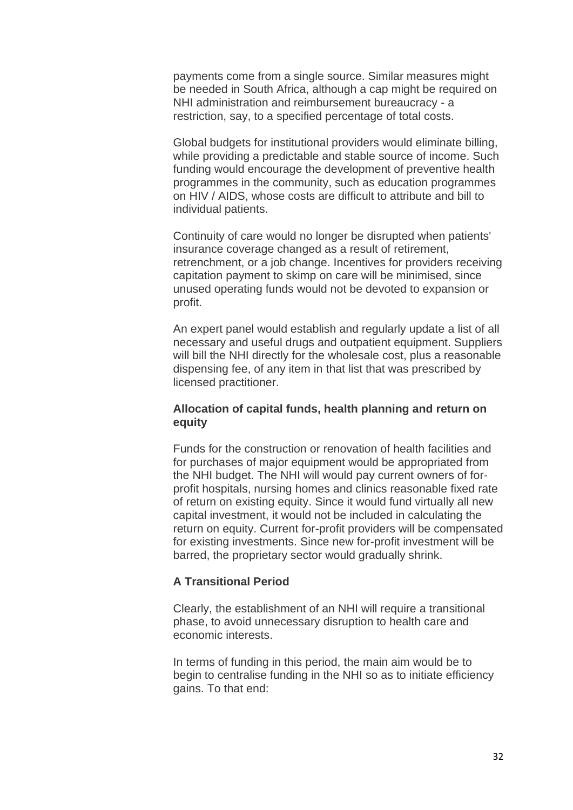payments come from a single source. Similar measures might be needed in South Africa, although a cap might be required on NHI administration and reimbursement bureaucracy - a restriction, say, to a specified percentage of total costs.

Global budgets for institutional providers would eliminate billing, while providing a predictable and stable source of income. Such funding would encourage the development of preventive health programmes in the community, such as education programmes on HIV / AIDS, whose costs are difficult to attribute and bill to individual patients.

Continuity of care would no longer be disrupted when patients' insurance coverage changed as a result of retirement, retrenchment, or a job change. Incentives for providers receiving capitation payment to skimp on care will be minimised, since unused operating funds would not be devoted to expansion or profit.

An expert panel would establish and regularly update a list of all necessary and useful drugs and outpatient equipment. Suppliers will bill the NHI directly for the wholesale cost, plus a reasonable dispensing fee, of any item in that list that was prescribed by licensed practitioner.

# **Allocation of capital funds, health planning and return on equity**

Funds for the construction or renovation of health facilities and for purchases of major equipment would be appropriated from the NHI budget. The NHI will would pay current owners of forprofit hospitals, nursing homes and clinics reasonable fixed rate of return on existing equity. Since it would fund virtually all new capital investment, it would not be included in calculating the return on equity. Current for-profit providers will be compensated for existing investments. Since new for-profit investment will be barred, the proprietary sector would gradually shrink.

#### **A Transitional Period**

Clearly, the establishment of an NHI will require a transitional phase, to avoid unnecessary disruption to health care and economic interests.

In terms of funding in this period, the main aim would be to begin to centralise funding in the NHI so as to initiate efficiency gains. To that end: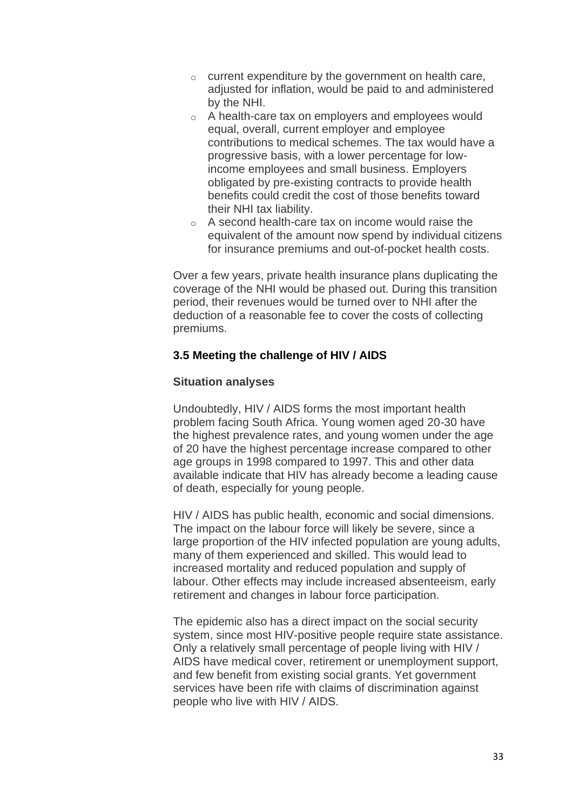- $\circ$  current expenditure by the government on health care, adjusted for inflation, would be paid to and administered by the NHI.
- o A health-care tax on employers and employees would equal, overall, current employer and employee contributions to medical schemes. The tax would have a progressive basis, with a lower percentage for lowincome employees and small business. Employers obligated by pre-existing contracts to provide health benefits could credit the cost of those benefits toward their NHI tax liability.
- o A second health-care tax on income would raise the equivalent of the amount now spend by individual citizens for insurance premiums and out-of-pocket health costs.

Over a few years, private health insurance plans duplicating the coverage of the NHI would be phased out. During this transition period, their revenues would be turned over to NHI after the deduction of a reasonable fee to cover the costs of collecting premiums.

# **3.5 Meeting the challenge of HIV / AIDS**

# **Situation analyses**

Undoubtedly, HIV / AIDS forms the most important health problem facing South Africa. Young women aged 20-30 have the highest prevalence rates, and young women under the age of 20 have the highest percentage increase compared to other age groups in 1998 compared to 1997. This and other data available indicate that HIV has already become a leading cause of death, especially for young people.

HIV / AIDS has public health, economic and social dimensions. The impact on the labour force will likely be severe, since a large proportion of the HIV infected population are young adults, many of them experienced and skilled. This would lead to increased mortality and reduced population and supply of labour. Other effects may include increased absenteeism, early retirement and changes in labour force participation.

The epidemic also has a direct impact on the social security system, since most HIV-positive people require state assistance. Only a relatively small percentage of people living with HIV / AIDS have medical cover, retirement or unemployment support, and few benefit from existing social grants. Yet government services have been rife with claims of discrimination against people who live with HIV / AIDS.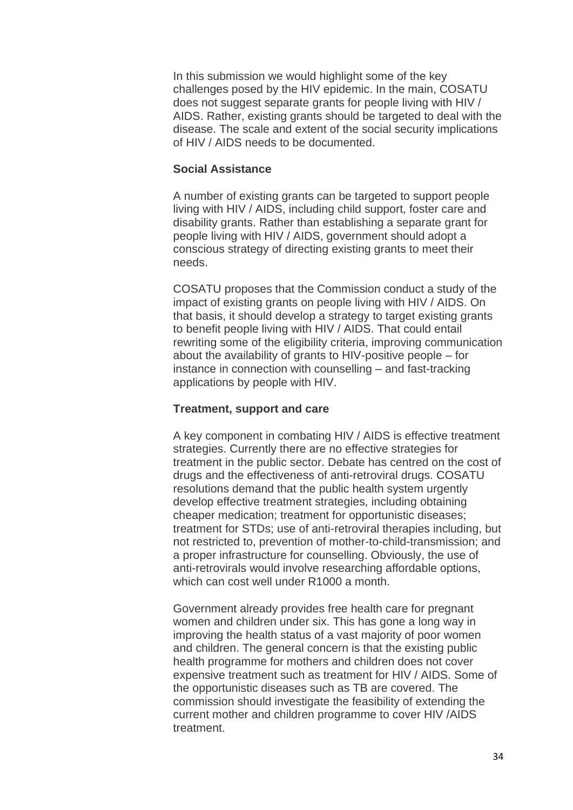In this submission we would highlight some of the key challenges posed by the HIV epidemic. In the main, COSATU does not suggest separate grants for people living with HIV / AIDS. Rather, existing grants should be targeted to deal with the disease. The scale and extent of the social security implications of HIV / AIDS needs to be documented.

## **Social Assistance**

A number of existing grants can be targeted to support people living with HIV / AIDS, including child support, foster care and disability grants. Rather than establishing a separate grant for people living with HIV / AIDS, government should adopt a conscious strategy of directing existing grants to meet their needs.

COSATU proposes that the Commission conduct a study of the impact of existing grants on people living with HIV / AIDS. On that basis, it should develop a strategy to target existing grants to benefit people living with HIV / AIDS. That could entail rewriting some of the eligibility criteria, improving communication about the availability of grants to HIV-positive people – for instance in connection with counselling – and fast-tracking applications by people with HIV.

## **Treatment, support and care**

A key component in combating HIV / AIDS is effective treatment strategies. Currently there are no effective strategies for treatment in the public sector. Debate has centred on the cost of drugs and the effectiveness of anti-retroviral drugs. COSATU resolutions demand that the public health system urgently develop effective treatment strategies, including obtaining cheaper medication; treatment for opportunistic diseases; treatment for STDs; use of anti-retroviral therapies including, but not restricted to, prevention of mother-to-child-transmission; and a proper infrastructure for counselling. Obviously, the use of anti-retrovirals would involve researching affordable options, which can cost well under R1000 a month.

Government already provides free health care for pregnant women and children under six. This has gone a long way in improving the health status of a vast majority of poor women and children. The general concern is that the existing public health programme for mothers and children does not cover expensive treatment such as treatment for HIV / AIDS. Some of the opportunistic diseases such as TB are covered. The commission should investigate the feasibility of extending the current mother and children programme to cover HIV /AIDS treatment.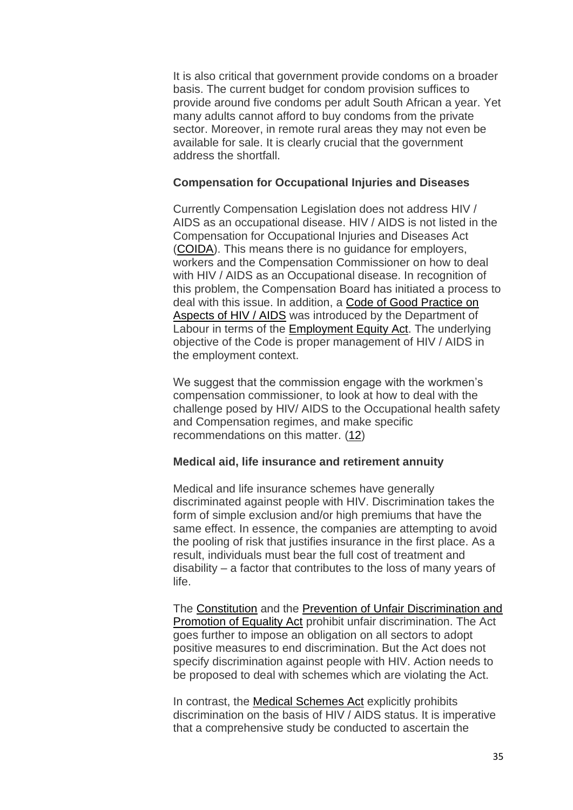It is also critical that government provide condoms on a broader basis. The current budget for condom provision suffices to provide around five condoms per adult South African a year. Yet many adults cannot afford to buy condoms from the private sector. Moreover, in remote rural areas they may not even be available for sale. It is clearly crucial that the government address the shortfall.

## **Compensation for Occupational Injuries and Diseases**

Currently Compensation Legislation does not address HIV / AIDS as an occupational disease. HIV / AIDS is not listed in the Compensation for Occupational Injuries and Diseases Act [\(COIDA\)](http://www.polity.org.za/govdocs/legislation/1997/act61.pdf). This means there is no guidance for employers, workers and the Compensation Commissioner on how to deal with HIV / AIDS as an Occupational disease. In recognition of this problem, the Compensation Board has initiated a process to deal with this issue. In addition, a [Code of Good Practice on](http://www.labour.gov.za/docs/aids/index.htm)  [Aspects of HIV / AIDS](http://www.labour.gov.za/docs/aids/index.htm) was introduced by the Department of Labour in terms of the [Employment](http://www.polity.org.za/govdocs/legislation/1998/act98-055.html) Equity Act. The underlying objective of the Code is proper management of HIV / AIDS in the employment context.

We suggest that the commission engage with the workmen's compensation commissioner, to look at how to deal with the challenge posed by HIV/ AIDS to the Occupational health safety and Compensation regimes, and make specific recommendations on this matter. [\(12\)](http://www.cosatu.org.za/show.php?ID=831#f12)

# **Medical aid, life insurance and retirement annuity**

Medical and life insurance schemes have generally discriminated against people with HIV. Discrimination takes the form of simple exclusion and/or high premiums that have the same effect. In essence, the companies are attempting to avoid the pooling of risk that justifies insurance in the first place. As a result, individuals must bear the full cost of treatment and disability – a factor that contributes to the loss of many years of life.

The [Constitution](http://www.polity.org.za/govdocs/constitution/saconst.html) and the [Prevention of Unfair Discrimination and](http://www.polity.org.za/govdocs/legislation/2000/act4.pdf)  [Promotion of Equality Act](http://www.polity.org.za/govdocs/legislation/2000/act4.pdf) prohibit unfair discrimination. The Act goes further to impose an obligation on all sectors to adopt positive measures to end discrimination. But the Act does not specify discrimination against people with HIV. Action needs to be proposed to deal with schemes which are violating the Act.

In contrast, the [Medical Schemes Act](http://www.polity.org.za/govdocs/legislation/1998/act98-131.html) explicitly prohibits discrimination on the basis of HIV / AIDS status. It is imperative that a comprehensive study be conducted to ascertain the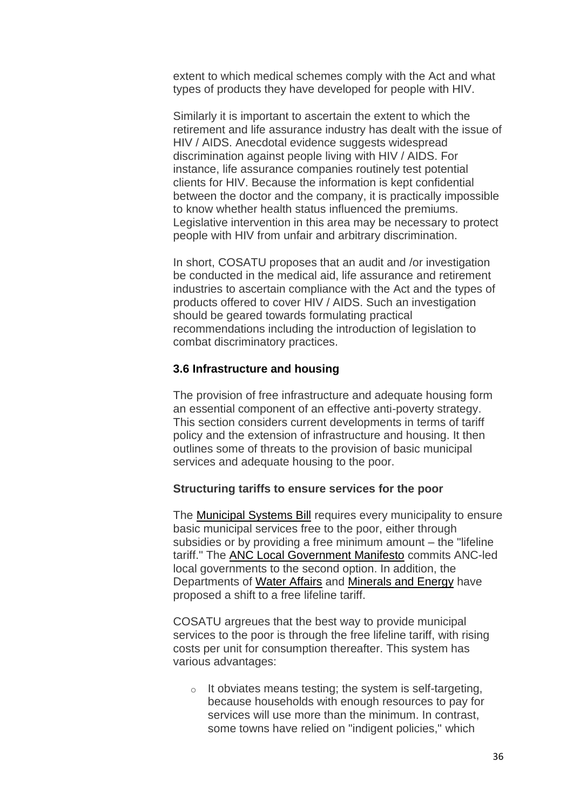extent to which medical schemes comply with the Act and what types of products they have developed for people with HIV.

Similarly it is important to ascertain the extent to which the retirement and life assurance industry has dealt with the issue of HIV / AIDS. Anecdotal evidence suggests widespread discrimination against people living with HIV / AIDS. For instance, life assurance companies routinely test potential clients for HIV. Because the information is kept confidential between the doctor and the company, it is practically impossible to know whether health status influenced the premiums. Legislative intervention in this area may be necessary to protect people with HIV from unfair and arbitrary discrimination.

In short, COSATU proposes that an audit and /or investigation be conducted in the medical aid, life assurance and retirement industries to ascertain compliance with the Act and the types of products offered to cover HIV / AIDS. Such an investigation should be geared towards formulating practical recommendations including the introduction of legislation to combat discriminatory practices.

## **3.6 Infrastructure and housing**

The provision of free infrastructure and adequate housing form an essential component of an effective anti-poverty strategy. This section considers current developments in terms of tariff policy and the extension of infrastructure and housing. It then outlines some of threats to the provision of basic municipal services and adequate housing to the poor.

#### **Structuring tariffs to ensure services for the poor**

The [Municipal Systems Bill](http://www.polity.org.za/govdocs/bills/2000/b27-00.pdf) requires every municipality to ensure basic municipal services free to the poor, either through subsidies or by providing a free minimum amount – the "lifeline tariff." The [ANC Local Government Manifesto](http://www.anc.org.za/elections/local00/manifesto/manifesto.html) commits ANC-led local governments to the second option. In addition, the Departments of [Water Affairs](http://www-dwaf.pwv.gov.za/idwaf/default.htm) and [Minerals and Energy](http://www.dme.gov.za/) have proposed a shift to a free lifeline tariff.

COSATU argreues that the best way to provide municipal services to the poor is through the free lifeline tariff, with rising costs per unit for consumption thereafter. This system has various advantages:

 $\circ$  It obviates means testing; the system is self-targeting, because households with enough resources to pay for services will use more than the minimum. In contrast, some towns have relied on "indigent policies," which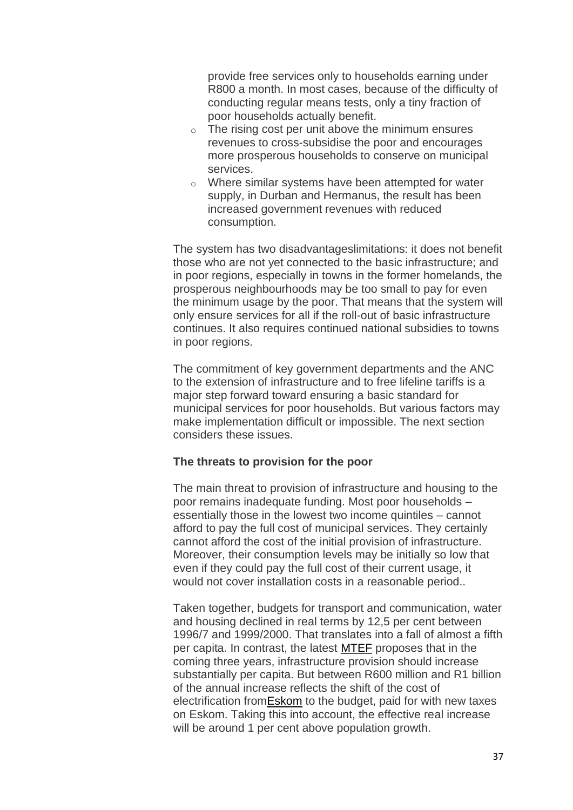provide free services only to households earning under R800 a month. In most cases, because of the difficulty of conducting regular means tests, only a tiny fraction of poor households actually benefit.

- $\circ$  The rising cost per unit above the minimum ensures revenues to cross-subsidise the poor and encourages more prosperous households to conserve on municipal services.
- o Where similar systems have been attempted for water supply, in Durban and Hermanus, the result has been increased government revenues with reduced consumption.

The system has two disadvantageslimitations: it does not benefit those who are not yet connected to the basic infrastructure; and in poor regions, especially in towns in the former homelands, the prosperous neighbourhoods may be too small to pay for even the minimum usage by the poor. That means that the system will only ensure services for all if the roll-out of basic infrastructure continues. It also requires continued national subsidies to towns in poor regions.

The commitment of key government departments and the ANC to the extension of infrastructure and to free lifeline tariffs is a major step forward toward ensuring a basic standard for municipal services for poor households. But various factors may make implementation difficult or impossible. The next section considers these issues.

#### **The threats to provision for the poor**

The main threat to provision of infrastructure and housing to the poor remains inadequate funding. Most poor households – essentially those in the lowest two income quintiles – cannot afford to pay the full cost of municipal services. They certainly cannot afford the cost of the initial provision of infrastructure. Moreover, their consumption levels may be initially so low that even if they could pay the full cost of their current usage, it would not cover installation costs in a reasonable period..

Taken together, budgets for transport and communication, water and housing declined in real terms by 12,5 per cent between 1996/7 and 1999/2000. That translates into a fall of almost a fifth per capita. In contrast, the latest [MTEF](http://www.finance.gov.za/documents/mtbps/2000/default.htm) proposes that in the coming three years, infrastructure provision should increase substantially per capita. But between R600 million and R1 billion of the annual increase reflects the shift of the cost of electrification fro[mEskom](http://www.eskom.co.za/) to the budget, paid for with new taxes on Eskom. Taking this into account, the effective real increase will be around 1 per cent above population growth.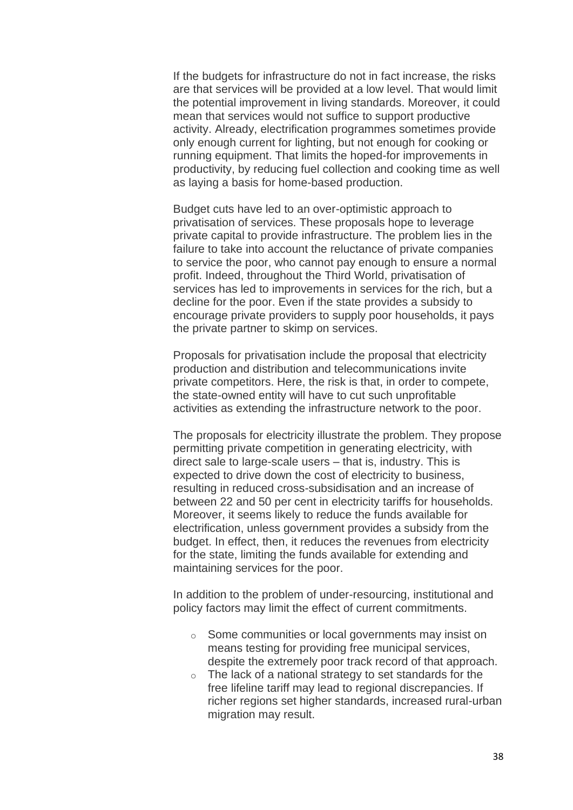If the budgets for infrastructure do not in fact increase, the risks are that services will be provided at a low level. That would limit the potential improvement in living standards. Moreover, it could mean that services would not suffice to support productive activity. Already, electrification programmes sometimes provide only enough current for lighting, but not enough for cooking or running equipment. That limits the hoped-for improvements in productivity, by reducing fuel collection and cooking time as well as laying a basis for home-based production.

Budget cuts have led to an over-optimistic approach to privatisation of services. These proposals hope to leverage private capital to provide infrastructure. The problem lies in the failure to take into account the reluctance of private companies to service the poor, who cannot pay enough to ensure a normal profit. Indeed, throughout the Third World, privatisation of services has led to improvements in services for the rich, but a decline for the poor. Even if the state provides a subsidy to encourage private providers to supply poor households, it pays the private partner to skimp on services.

Proposals for privatisation include the proposal that electricity production and distribution and telecommunications invite private competitors. Here, the risk is that, in order to compete, the state-owned entity will have to cut such unprofitable activities as extending the infrastructure network to the poor.

The proposals for electricity illustrate the problem. They propose permitting private competition in generating electricity, with direct sale to large-scale users – that is, industry. This is expected to drive down the cost of electricity to business, resulting in reduced cross-subsidisation and an increase of between 22 and 50 per cent in electricity tariffs for households. Moreover, it seems likely to reduce the funds available for electrification, unless government provides a subsidy from the budget. In effect, then, it reduces the revenues from electricity for the state, limiting the funds available for extending and maintaining services for the poor.

In addition to the problem of under-resourcing, institutional and policy factors may limit the effect of current commitments.

- o Some communities or local governments may insist on means testing for providing free municipal services, despite the extremely poor track record of that approach.
- $\circ$  The lack of a national strategy to set standards for the free lifeline tariff may lead to regional discrepancies. If richer regions set higher standards, increased rural-urban migration may result.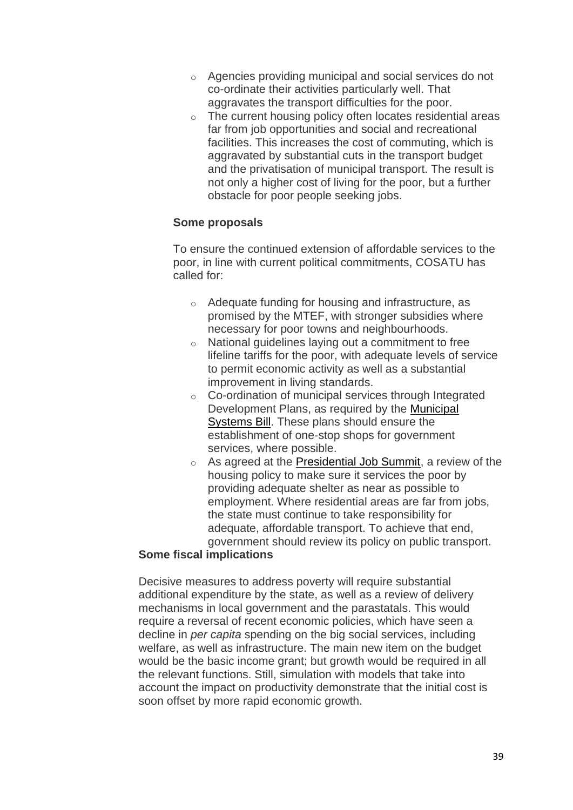- o Agencies providing municipal and social services do not co-ordinate their activities particularly well. That aggravates the transport difficulties for the poor.
- o The current housing policy often locates residential areas far from job opportunities and social and recreational facilities. This increases the cost of commuting, which is aggravated by substantial cuts in the transport budget and the privatisation of municipal transport. The result is not only a higher cost of living for the poor, but a further obstacle for poor people seeking jobs.

# **Some proposals**

To ensure the continued extension of affordable services to the poor, in line with current political commitments, COSATU has called for:

- o Adequate funding for housing and infrastructure, as promised by the MTEF, with stronger subsidies where necessary for poor towns and neighbourhoods.
- o National guidelines laying out a commitment to free lifeline tariffs for the poor, with adequate levels of service to permit economic activity as well as a substantial improvement in living standards.
- o Co-ordination of municipal services through Integrated Development Plans, as required by the [Municipal](http://www.polity.org.za/govdocs/bills/2000/b27-00.pdf)  [Systems Bill.](http://www.polity.org.za/govdocs/bills/2000/b27-00.pdf) These plans should ensure the establishment of one-stop shops for government services, where possible.
- o As agreed at the [Presidential Job Summit,](http://www.polity.org.za/govdocs/summit/jobsummit.html) a review of the housing policy to make sure it services the poor by providing adequate shelter as near as possible to employment. Where residential areas are far from jobs, the state must continue to take responsibility for adequate, affordable transport. To achieve that end, government should review its policy on public transport.

# **Some fiscal implications**

Decisive measures to address poverty will require substantial additional expenditure by the state, as well as a review of delivery mechanisms in local government and the parastatals. This would require a reversal of recent economic policies, which have seen a decline in *per capita* spending on the big social services, including welfare, as well as infrastructure. The main new item on the budget would be the basic income grant; but growth would be required in all the relevant functions. Still, simulation with models that take into account the impact on productivity demonstrate that the initial cost is soon offset by more rapid economic growth.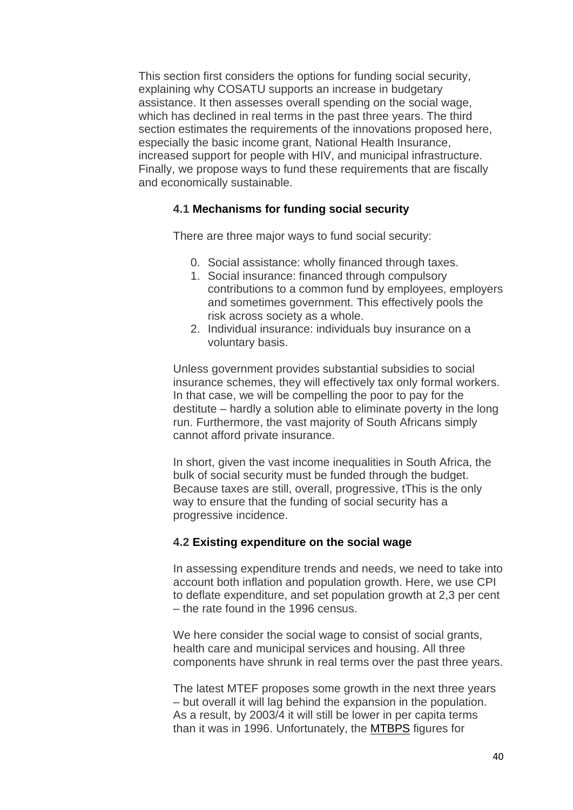This section first considers the options for funding social security, explaining why COSATU supports an increase in budgetary assistance. It then assesses overall spending on the social wage, which has declined in real terms in the past three years. The third section estimates the requirements of the innovations proposed here, especially the basic income grant, National Health Insurance, increased support for people with HIV, and municipal infrastructure. Finally, we propose ways to fund these requirements that are fiscally and economically sustainable.

## **4.1 Mechanisms for funding social security**

There are three major ways to fund social security:

- 0. Social assistance: wholly financed through taxes.
- 1. Social insurance: financed through compulsory contributions to a common fund by employees, employers and sometimes government. This effectively pools the risk across society as a whole.
- 2. Individual insurance: individuals buy insurance on a voluntary basis.

Unless government provides substantial subsidies to social insurance schemes, they will effectively tax only formal workers. In that case, we will be compelling the poor to pay for the destitute – hardly a solution able to eliminate poverty in the long run. Furthermore, the vast majority of South Africans simply cannot afford private insurance.

In short, given the vast income inequalities in South Africa, the bulk of social security must be funded through the budget. Because taxes are still, overall, progressive, tThis is the only way to ensure that the funding of social security has a progressive incidence.

#### **4.2 Existing expenditure on the social wage**

In assessing expenditure trends and needs, we need to take into account both inflation and population growth. Here, we use CPI to deflate expenditure, and set population growth at 2,3 per cent – the rate found in the 1996 census.

We here consider the social wage to consist of social grants, health care and municipal services and housing. All three components have shrunk in real terms over the past three years.

The latest MTEF proposes some growth in the next three years – but overall it will lag behind the expansion in the population. As a result, by 2003/4 it will still be lower in per capita terms than it was in 1996. Unfortunately, the [MTBPS](http://www.finance.gov.za/documents/mtbps/2000/default.htm) figures for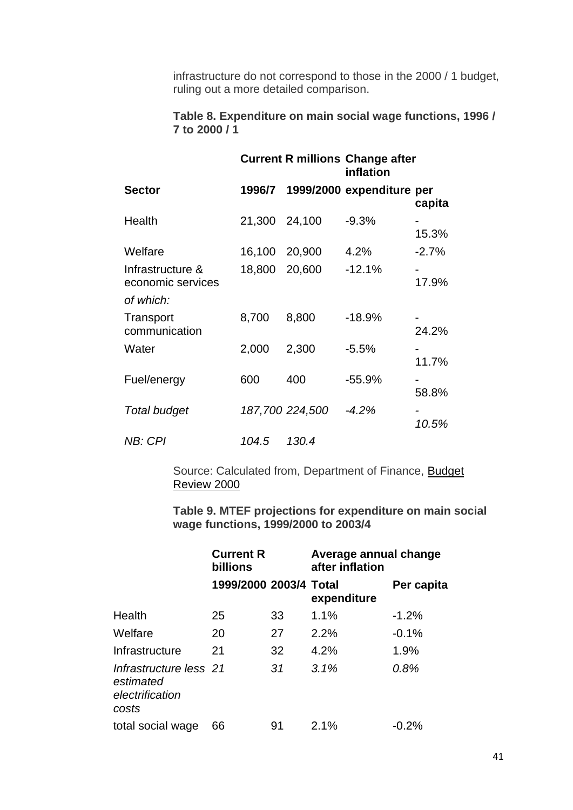infrastructure do not correspond to those in the 2000 / 1 budget, ruling out a more detailed comparison.

# **Table 8. Expenditure on main social wage functions, 1996 / 7 to 2000 / 1**

|                                       |        |                 | <b>Current R millions Change after</b><br>inflation |         |
|---------------------------------------|--------|-----------------|-----------------------------------------------------|---------|
| <b>Sector</b>                         | 1996/7 |                 | 1999/2000 expenditure per                           | capita  |
| Health                                | 21,300 | 24,100          | $-9.3%$                                             | 15.3%   |
| Welfare                               | 16,100 | 20,900          | 4.2%                                                | $-2.7%$ |
| Infrastructure &<br>economic services | 18,800 | 20,600          | $-12.1%$                                            | 17.9%   |
| of which:                             |        |                 |                                                     |         |
| Transport<br>communication            | 8,700  | 8,800           | $-18.9%$                                            | 24.2%   |
| Water                                 | 2,000  | 2,300           | $-5.5%$                                             | 11.7%   |
| Fuel/energy                           | 600    | 400             | $-55.9%$                                            | 58.8%   |
| Total budget                          |        | 187,700 224,500 | $-4.2%$                                             | 10.5%   |
| <b>NB: CPI</b>                        | 104.5  | 130.4           |                                                     |         |

Source: Calculated from, Department of Finance, Budget [Review 2000](http://www.finance.gov.za/documents/budget/2000/review/default.htm)

**Table 9. MTEF projections for expenditure on main social wage functions, 1999/2000 to 2003/4**

|                                                                 | <b>Current R</b><br>billions |    | Average annual change<br>after inflation |            |
|-----------------------------------------------------------------|------------------------------|----|------------------------------------------|------------|
|                                                                 | 1999/2000 2003/4 Total       |    | expenditure                              | Per capita |
| Health                                                          | 25                           | 33 | 1.1%                                     | $-1.2%$    |
| Welfare                                                         | 20                           | 27 | 2.2%                                     | $-0.1%$    |
| Infrastructure                                                  | 21                           | 32 | 4.2%                                     | 1.9%       |
| Infrastructure less 21<br>estimated<br>electrification<br>costs |                              | 31 | 3.1%                                     | 0.8%       |
| total social wage                                               | 66                           | 91 | 2.1%                                     | -0.2%      |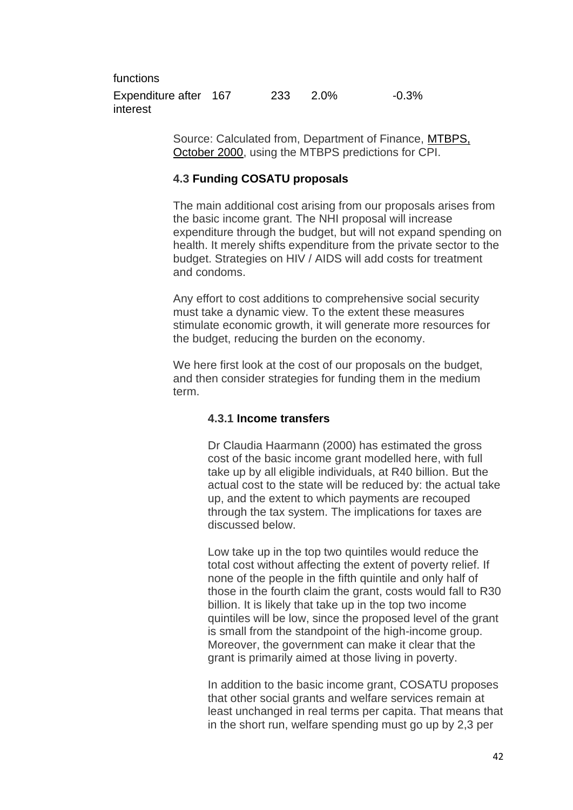functions Expenditure after 167 233 2.0% -0.3% interest

> Source: Calculated from, Department of Finance, [MTBPS,](http://www.finance.gov.za/documents/mtbps/2000/default.htm)  [October 2000,](http://www.finance.gov.za/documents/mtbps/2000/default.htm) using the MTBPS predictions for CPI.

# **4.3 Funding COSATU proposals**

The main additional cost arising from our proposals arises from the basic income grant. The NHI proposal will increase expenditure through the budget, but will not expand spending on health. It merely shifts expenditure from the private sector to the budget. Strategies on HIV / AIDS will add costs for treatment and condoms.

Any effort to cost additions to comprehensive social security must take a dynamic view. To the extent these measures stimulate economic growth, it will generate more resources for the budget, reducing the burden on the economy.

We here first look at the cost of our proposals on the budget, and then consider strategies for funding them in the medium term.

#### **4.3.1 Income transfers**

Dr Claudia Haarmann (2000) has estimated the gross cost of the basic income grant modelled here, with full take up by all eligible individuals, at R40 billion. But the actual cost to the state will be reduced by: the actual take up, and the extent to which payments are recouped through the tax system. The implications for taxes are discussed below.

Low take up in the top two quintiles would reduce the total cost without affecting the extent of poverty relief. If none of the people in the fifth quintile and only half of those in the fourth claim the grant, costs would fall to R30 billion. It is likely that take up in the top two income quintiles will be low, since the proposed level of the grant is small from the standpoint of the high-income group. Moreover, the government can make it clear that the grant is primarily aimed at those living in poverty.

In addition to the basic income grant, COSATU proposes that other social grants and welfare services remain at least unchanged in real terms per capita. That means that in the short run, welfare spending must go up by 2,3 per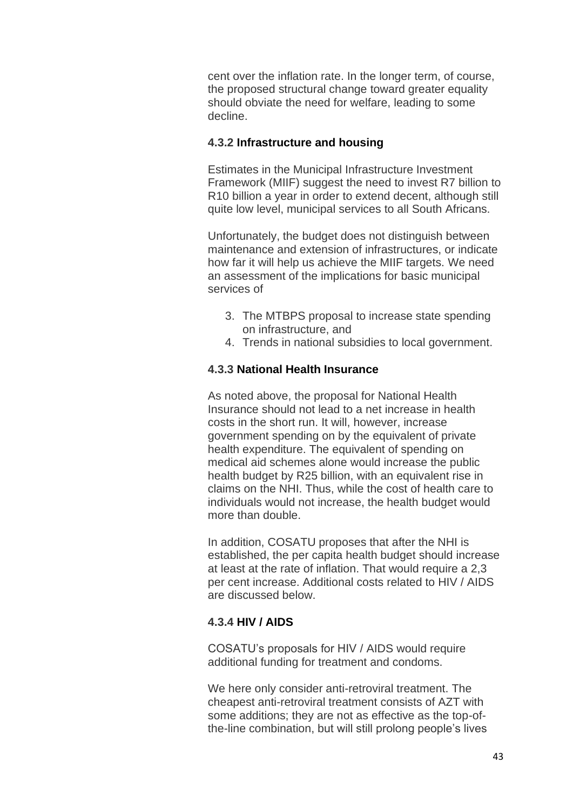cent over the inflation rate. In the longer term, of course, the proposed structural change toward greater equality should obviate the need for welfare, leading to some decline.

## **4.3.2 Infrastructure and housing**

Estimates in the Municipal Infrastructure Investment Framework (MIIF) suggest the need to invest R7 billion to R10 billion a year in order to extend decent, although still quite low level, municipal services to all South Africans.

Unfortunately, the budget does not distinguish between maintenance and extension of infrastructures, or indicate how far it will help us achieve the MIIF targets. We need an assessment of the implications for basic municipal services of

- 3. The MTBPS proposal to increase state spending on infrastructure, and
- 4. Trends in national subsidies to local government.

# **4.3.3 National Health Insurance**

As noted above, the proposal for National Health Insurance should not lead to a net increase in health costs in the short run. It will, however, increase government spending on by the equivalent of private health expenditure. The equivalent of spending on medical aid schemes alone would increase the public health budget by R25 billion, with an equivalent rise in claims on the NHI. Thus, while the cost of health care to individuals would not increase, the health budget would more than double.

In addition, COSATU proposes that after the NHI is established, the per capita health budget should increase at least at the rate of inflation. That would require a 2,3 per cent increase. Additional costs related to HIV / AIDS are discussed below.

# **4.3.4 HIV / AIDS**

COSATU's proposals for HIV / AIDS would require additional funding for treatment and condoms.

We here only consider anti-retroviral treatment. The cheapest anti-retroviral treatment consists of AZT with some additions; they are not as effective as the top-ofthe-line combination, but will still prolong people's lives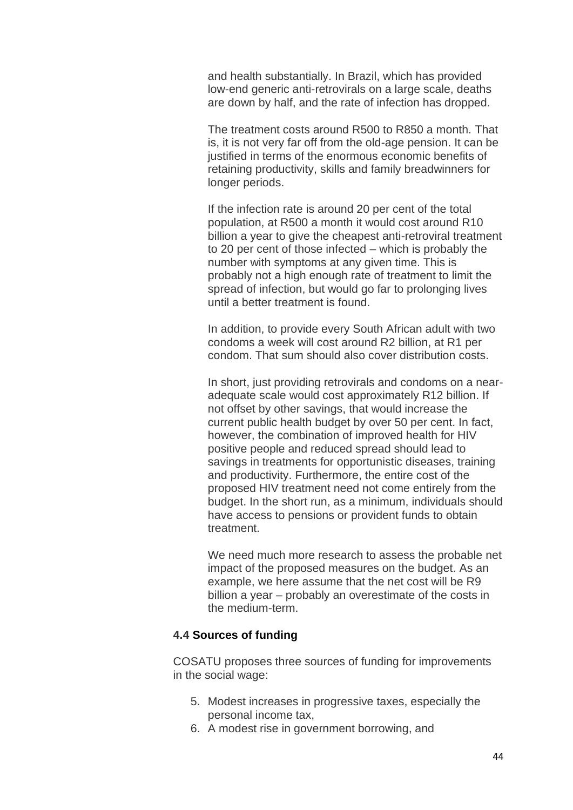and health substantially. In Brazil, which has provided low-end generic anti-retrovirals on a large scale, deaths are down by half, and the rate of infection has dropped.

The treatment costs around R500 to R850 a month. That is, it is not very far off from the old-age pension. It can be justified in terms of the enormous economic benefits of retaining productivity, skills and family breadwinners for longer periods.

If the infection rate is around 20 per cent of the total population, at R500 a month it would cost around R10 billion a year to give the cheapest anti-retroviral treatment to 20 per cent of those infected – which is probably the number with symptoms at any given time. This is probably not a high enough rate of treatment to limit the spread of infection, but would go far to prolonging lives until a better treatment is found.

In addition, to provide every South African adult with two condoms a week will cost around R2 billion, at R1 per condom. That sum should also cover distribution costs.

In short, just providing retrovirals and condoms on a nearadequate scale would cost approximately R12 billion. If not offset by other savings, that would increase the current public health budget by over 50 per cent. In fact, however, the combination of improved health for HIV positive people and reduced spread should lead to savings in treatments for opportunistic diseases, training and productivity. Furthermore, the entire cost of the proposed HIV treatment need not come entirely from the budget. In the short run, as a minimum, individuals should have access to pensions or provident funds to obtain treatment.

We need much more research to assess the probable net impact of the proposed measures on the budget. As an example, we here assume that the net cost will be R9 billion a year – probably an overestimate of the costs in the medium-term.

#### **4.4 Sources of funding**

COSATU proposes three sources of funding for improvements in the social wage:

- 5. Modest increases in progressive taxes, especially the personal income tax,
- 6. A modest rise in government borrowing, and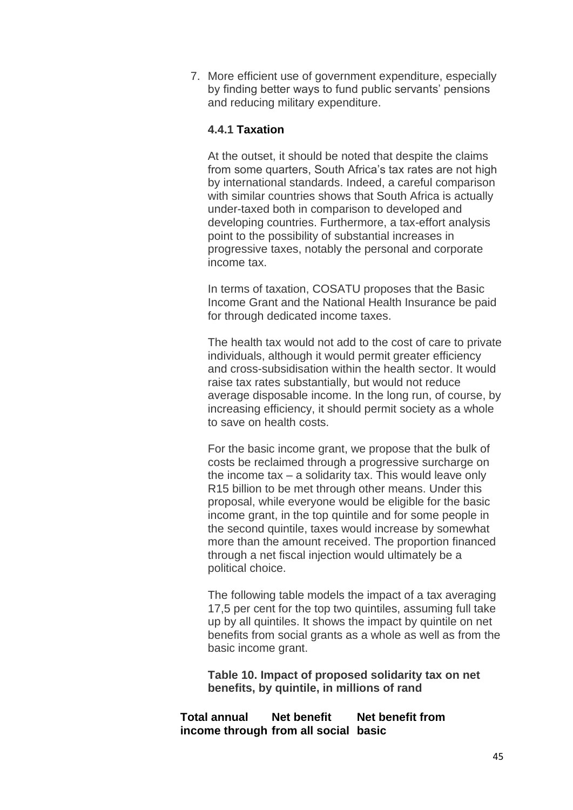7. More efficient use of government expenditure, especially by finding better ways to fund public servants' pensions and reducing military expenditure.

# **4.4.1 Taxation**

At the outset, it should be noted that despite the claims from some quarters, South Africa's tax rates are not high by international standards. Indeed, a careful comparison with similar countries shows that South Africa is actually under-taxed both in comparison to developed and developing countries. Furthermore, a tax-effort analysis point to the possibility of substantial increases in progressive taxes, notably the personal and corporate income tax.

In terms of taxation, COSATU proposes that the Basic Income Grant and the National Health Insurance be paid for through dedicated income taxes.

The health tax would not add to the cost of care to private individuals, although it would permit greater efficiency and cross-subsidisation within the health sector. It would raise tax rates substantially, but would not reduce average disposable income. In the long run, of course, by increasing efficiency, it should permit society as a whole to save on health costs.

For the basic income grant, we propose that the bulk of costs be reclaimed through a progressive surcharge on the income tax – a solidarity tax. This would leave only R15 billion to be met through other means. Under this proposal, while everyone would be eligible for the basic income grant, in the top quintile and for some people in the second quintile, taxes would increase by somewhat more than the amount received. The proportion financed through a net fiscal injection would ultimately be a political choice.

The following table models the impact of a tax averaging 17,5 per cent for the top two quintiles, assuming full take up by all quintiles. It shows the impact by quintile on net benefits from social grants as a whole as well as from the basic income grant.

**Table 10. Impact of proposed solidarity tax on net benefits, by quintile, in millions of rand**

#### **Total annual income through from all social basic Net benefit Net benefit from**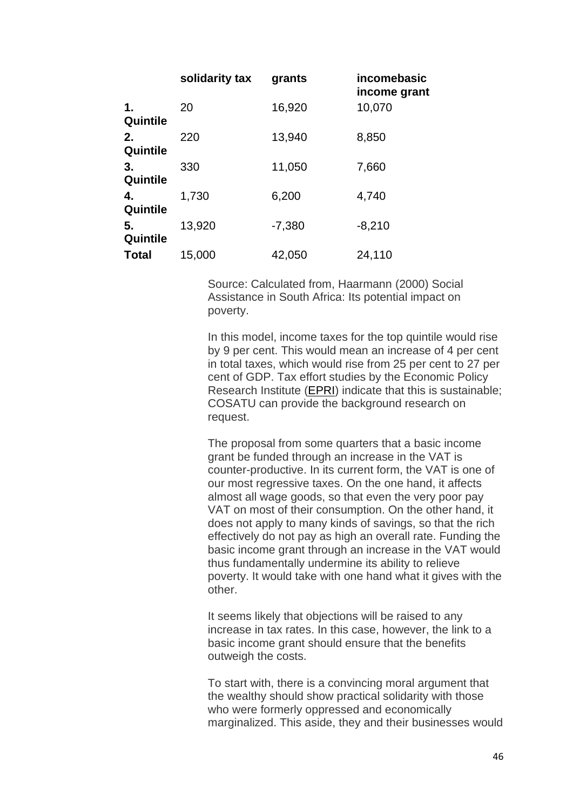|                | solidarity tax | grants   | incomebasic<br>income grant |
|----------------|----------------|----------|-----------------------------|
| 1.<br>Quintile | 20             | 16,920   | 10,070                      |
| 2.<br>Quintile | 220            | 13,940   | 8,850                       |
| 3.<br>Quintile | 330            | 11,050   | 7,660                       |
| 4.<br>Quintile | 1,730          | 6,200    | 4,740                       |
| 5.<br>Quintile | 13,920         | $-7,380$ | $-8,210$                    |
| <b>Total</b>   | 15,000         | 42,050   | 24,110                      |

Source: Calculated from, Haarmann (2000) Social Assistance in South Africa: Its potential impact on poverty.

In this model, income taxes for the top quintile would rise by 9 per cent. This would mean an increase of 4 per cent in total taxes, which would rise from 25 per cent to 27 per cent of GDP. Tax effort studies by the Economic Policy Research Institute [\(EPRI\)](http://www.epri.org.za/) indicate that this is sustainable; COSATU can provide the background research on request.

The proposal from some quarters that a basic income grant be funded through an increase in the VAT is counter-productive. In its current form, the VAT is one of our most regressive taxes. On the one hand, it affects almost all wage goods, so that even the very poor pay VAT on most of their consumption. On the other hand, it does not apply to many kinds of savings, so that the rich effectively do not pay as high an overall rate. Funding the basic income grant through an increase in the VAT would thus fundamentally undermine its ability to relieve poverty. It would take with one hand what it gives with the other.

It seems likely that objections will be raised to any increase in tax rates. In this case, however, the link to a basic income grant should ensure that the benefits outweigh the costs.

To start with, there is a convincing moral argument that the wealthy should show practical solidarity with those who were formerly oppressed and economically marginalized. This aside, they and their businesses would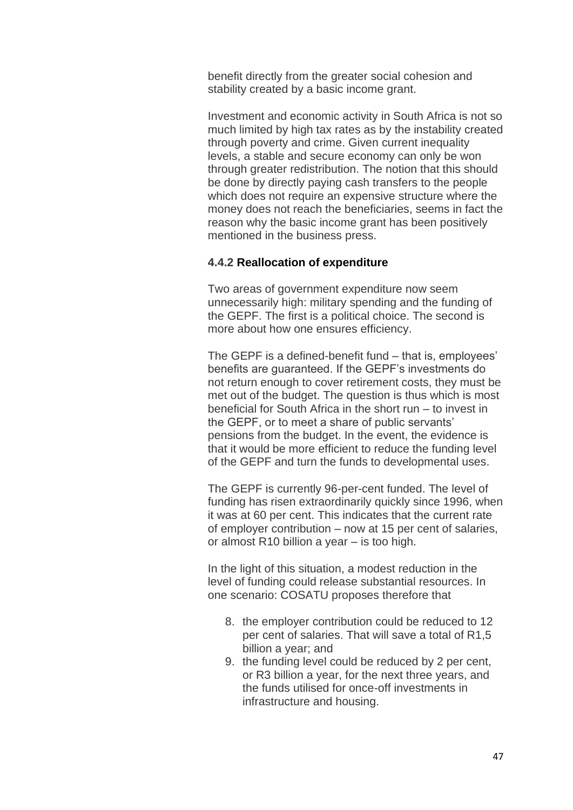benefit directly from the greater social cohesion and stability created by a basic income grant.

Investment and economic activity in South Africa is not so much limited by high tax rates as by the instability created through poverty and crime. Given current inequality levels, a stable and secure economy can only be won through greater redistribution. The notion that this should be done by directly paying cash transfers to the people which does not require an expensive structure where the money does not reach the beneficiaries, seems in fact the reason why the basic income grant has been positively mentioned in the business press.

## **4.4.2 Reallocation of expenditure**

Two areas of government expenditure now seem unnecessarily high: military spending and the funding of the GEPF. The first is a political choice. The second is more about how one ensures efficiency.

The GEPF is a defined-benefit fund – that is, employees' benefits are guaranteed. If the GEPF's investments do not return enough to cover retirement costs, they must be met out of the budget. The question is thus which is most beneficial for South Africa in the short run – to invest in the GEPF, or to meet a share of public servants' pensions from the budget. In the event, the evidence is that it would be more efficient to reduce the funding level of the GEPF and turn the funds to developmental uses.

The GEPF is currently 96-per-cent funded. The level of funding has risen extraordinarily quickly since 1996, when it was at 60 per cent. This indicates that the current rate of employer contribution – now at 15 per cent of salaries, or almost R10 billion a year – is too high.

In the light of this situation, a modest reduction in the level of funding could release substantial resources. In one scenario: COSATU proposes therefore that

- 8. the employer contribution could be reduced to 12 per cent of salaries. That will save a total of R1,5 billion a year; and
- 9. the funding level could be reduced by 2 per cent, or R3 billion a year, for the next three years, and the funds utilised for once-off investments in infrastructure and housing.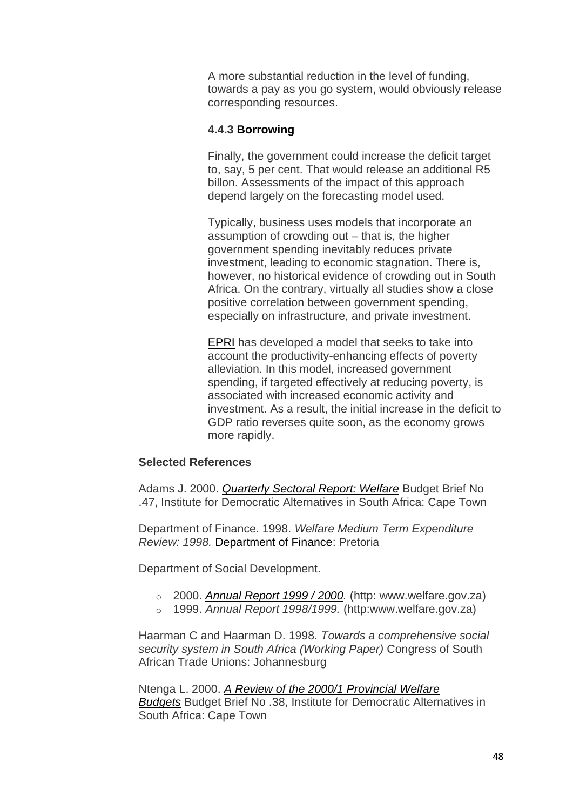A more substantial reduction in the level of funding, towards a pay as you go system, would obviously release corresponding resources.

## **4.4.3 Borrowing**

Finally, the government could increase the deficit target to, say, 5 per cent. That would release an additional R5 billon. Assessments of the impact of this approach depend largely on the forecasting model used.

Typically, business uses models that incorporate an assumption of crowding out – that is, the higher government spending inevitably reduces private investment, leading to economic stagnation. There is, however, no historical evidence of crowding out in South Africa. On the contrary, virtually all studies show a close positive correlation between government spending, especially on infrastructure, and private investment.

[EPRI](http://www.epri.org.za/) has developed a model that seeks to take into account the productivity-enhancing effects of poverty alleviation. In this model, increased government spending, if targeted effectively at reducing poverty, is associated with increased economic activity and investment. As a result, the initial increase in the deficit to GDP ratio reverses quite soon, as the economy grows more rapidly.

## **Selected References**

Adams J. 2000. *[Quarterly Sectoral Report: Welfare](http://www.idasa.org.za/bis/briefs/brief47.htm)* Budget Brief No .47, Institute for Democratic Alternatives in South Africa: Cape Town

Department of Finance. 1998. *Welfare Medium Term Expenditure Review: 1998.* [Department of Finance:](http://www.finance.gov.za/) Pretoria

Department of Social Development.

- o 2000. *[Annual Report 1999 / 2000.](http://www.welfare.gov.za/Documents/archive/2000%20-1996/annual%20reports/1999-2000/2000.htm)* (http: www.welfare.gov.za)
- o 1999. *Annual Report 1998/1999.* (http:www.welfare.gov.za)

Haarman C and Haarman D. 1998. *Towards a comprehensive social security system in South Africa (Working Paper)* Congress of South African Trade Unions: Johannesburg

Ntenga L. 2000. *[A Review of the 2000/1 Provincial Welfare](http://www.idasa.org.za/bis/briefs/brief39.htm)  [Budgets](http://www.idasa.org.za/bis/briefs/brief39.htm)* Budget Brief No .38, Institute for Democratic Alternatives in South Africa: Cape Town